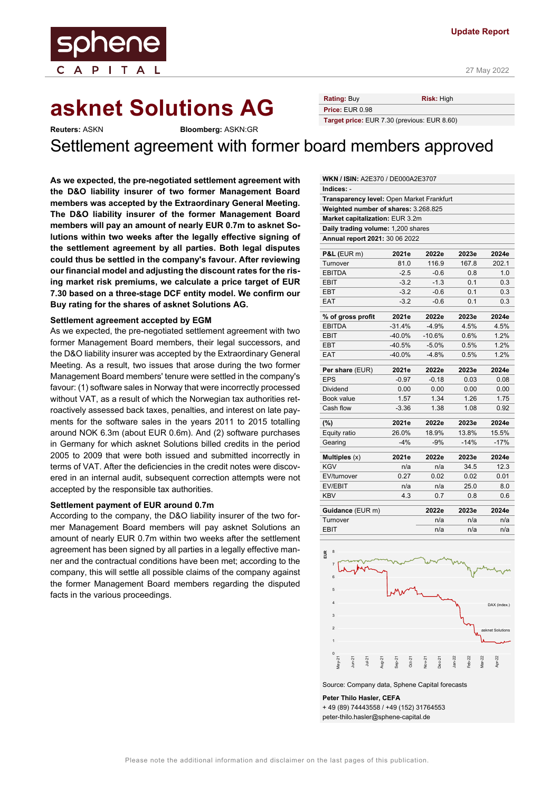# **asknet Solutions AG** Rating: Buy Risk: High

**Reuters:** ASKN **Bloomberg:** ASKN:GR

ene

 $I$  T A

Settlement agreement with former board members approved

**Price:** EUR 0.98

**Target price:** EUR 7.30 (previous: EUR 8.60)

**As we expected, the pre-negotiated settlement agreement with the D&O liability insurer of two former Management Board members was accepted by the Extraordinary General Meeting. The D&O liability insurer of the former Management Board members will pay an amount of nearly EUR 0.7m to asknet Solutions within two weeks after the legally effective signing of the settlement agreement by all parties. Both legal disputes could thus be settled in the company's favour. After reviewing our financial model and adjusting the discount rates for the rising market risk premiums, we calculate a price target of EUR 7.30 based on a three-stage DCF entity model. We confirm our Buy rating for the shares of asknet Solutions AG.** 

#### **Settlement agreement accepted by EGM**

As we expected, the pre-negotiated settlement agreement with two former Management Board members, their legal successors, and the D&O liability insurer was accepted by the Extraordinary General Meeting. As a result, two issues that arose during the two former Management Board members' tenure were settled in the company's favour: (1) software sales in Norway that were incorrectly processed without VAT, as a result of which the Norwegian tax authorities retroactively assessed back taxes, penalties, and interest on late payments for the software sales in the years 2011 to 2015 totalling around NOK 6.3m (about EUR 0.6m). And (2) software purchases in Germany for which asknet Solutions billed credits in the period 2005 to 2009 that were both issued and submitted incorrectly in terms of VAT. After the deficiencies in the credit notes were discovered in an internal audit, subsequent correction attempts were not accepted by the responsible tax authorities.

#### **Settlement payment of EUR around 0.7m**

According to the company, the D&O liability insurer of the two former Management Board members will pay asknet Solutions an amount of nearly EUR 0.7m within two weeks after the settlement agreement has been signed by all parties in a legally effective manner and the contractual conditions have been met; according to the company, this will settle all possible claims of the company against the former Management Board members regarding the disputed facts in the various proceedings.

| <b>WKN / ISIN: A2E370 / DE000A2E3707</b>  |          |          |        |        |  |  |  |
|-------------------------------------------|----------|----------|--------|--------|--|--|--|
| Indices: -                                |          |          |        |        |  |  |  |
| Transparency level: Open Market Frankfurt |          |          |        |        |  |  |  |
| Weighted number of shares: 3.268.825      |          |          |        |        |  |  |  |
| Market capitalization: EUR 3.2m           |          |          |        |        |  |  |  |
| Daily trading volume: 1,200 shares        |          |          |        |        |  |  |  |
| Annual report 2021: 30 06 2022            |          |          |        |        |  |  |  |
| $P&L$ (EUR m)                             | 2021e    | 2022e    | 2023e  | 2024e  |  |  |  |
| Turnover                                  | 81.0     | 116.9    | 167.8  | 202.1  |  |  |  |
| <b>EBITDA</b>                             | $-2.5$   | $-0.6$   | 0.8    | 1.0    |  |  |  |
| <b>EBIT</b>                               | $-3.2$   | $-1.3$   | 0.1    | 0.3    |  |  |  |
| EBT                                       | $-3.2$   | $-0.6$   | 0.1    | 0.3    |  |  |  |
| <b>EAT</b>                                | $-3.2$   | $-0.6$   | 0.1    | 0.3    |  |  |  |
| % of gross profit                         | 2021e    | 2022e    | 2023e  | 2024e  |  |  |  |
| <b>EBITDA</b>                             | $-31.4%$ | $-4.9%$  | 4.5%   | 4.5%   |  |  |  |
| <b>EBIT</b>                               | $-40.0%$ | $-10.6%$ | 0.6%   | 1.2%   |  |  |  |
| EBT                                       | $-40.5%$ | $-5.0%$  | 0.5%   | 1.2%   |  |  |  |
| <b>EAT</b>                                | $-40.0%$ | $-4.8%$  | 0.5%   | 1.2%   |  |  |  |
| Per share (EUR)                           | 2021e    | 2022e    | 2023e  | 2024e  |  |  |  |
| <b>EPS</b>                                | $-0.97$  | $-0.18$  | 0.03   | 0.08   |  |  |  |
| Dividend                                  | 0.00     | 0.00     | 0.00   | 0.00   |  |  |  |
| Book value                                | 1.57     | 1.34     | 1.26   | 1.75   |  |  |  |
| Cash flow                                 | $-3.36$  | 1.38     | 1.08   | 0.92   |  |  |  |
| (%)                                       | 2021e    | 2022e    | 2023e  | 2024e  |  |  |  |
| Equity ratio                              | 26.0%    | 18.9%    | 13.8%  | 15.5%  |  |  |  |
| Gearing                                   | $-4%$    | $-9%$    | $-14%$ | $-17%$ |  |  |  |
| Multiples (x)                             | 2021e    | 2022e    | 2023e  | 2024e  |  |  |  |
| <b>KGV</b>                                | n/a      | n/a      | 34.5   | 12.3   |  |  |  |
| EV/turnover                               | 0.27     | 0.02     | 0.02   | 0.01   |  |  |  |
| EV/EBIT                                   | n/a      | n/a      | 25.0   | 8.0    |  |  |  |
| <b>KBV</b>                                | 4.3      | 0.7      | 0.8    | 0.6    |  |  |  |
| Guidance (EUR m)                          |          | 2022e    | 2023e  | 2024e  |  |  |  |
| Turnover                                  |          | n/a      | n/a    | n/a    |  |  |  |
| <b>EBIT</b>                               |          | n/a      | n/a    | n/a    |  |  |  |



Source: Company data, Sphene Capital forecasts

**Peter Thilo Hasler, CEFA**  + 49 (89) 74443558 / +49 (152) 31764553 peter-thilo.hasler@sphene-capital.de

Please note the additional information and disclaimer on the last pages of this publication.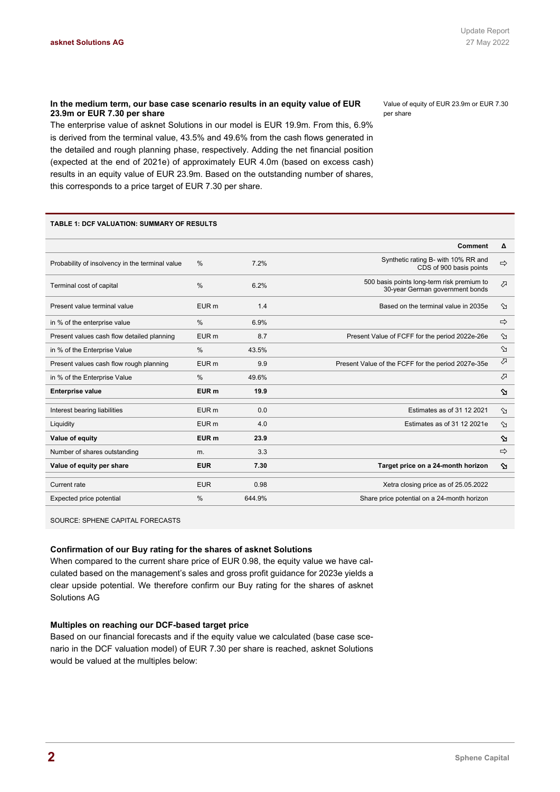### **In the medium term, our base case scenario results in an equity value of EUR 23.9m or EUR 7.30 per share**

The enterprise value of asknet Solutions in our model is EUR 19.9m. From this, 6.9% is derived from the terminal value, 43.5% and 49.6% from the cash flows generated in the detailed and rough planning phase, respectively. Adding the net financial position (expected at the end of 2021e) of approximately EUR 4.0m (based on excess cash) results in an equity value of EUR 23.9m. Based on the outstanding number of shares, this corresponds to a price target of EUR 7.30 per share.

Value of equity of EUR 23.9m or EUR 7.30 per share

#### **TABLE 1: DCF VALUATION: SUMMARY OF RESULTS**

|                                                 |                  |        | <b>Comment</b>                                                                | Δ                 |
|-------------------------------------------------|------------------|--------|-------------------------------------------------------------------------------|-------------------|
| Probability of insolvency in the terminal value | $\frac{0}{0}$    | 7.2%   | Synthetic rating B- with 10% RR and<br>CDS of 900 basis points                | $\Rightarrow$     |
| Terminal cost of capital                        | $\frac{0}{0}$    | 6.2%   | 500 basis points long-term risk premium to<br>30-year German government bonds | $\mathcal{L}$     |
| Present value terminal value                    | EUR <sub>m</sub> | 1.4    | Based on the terminal value in 2035e                                          | $\infty$          |
| in % of the enterprise value                    | $\%$             | 6.9%   |                                                                               | $\Rightarrow$     |
| Present values cash flow detailed planning      | EUR <sub>m</sub> | 8.7    | Present Value of FCFF for the period 2022e-26e                                | $\infty$          |
| in % of the Enterprise Value                    | %                | 43.5%  |                                                                               | $\infty$          |
| Present values cash flow rough planning         | EUR <sub>m</sub> | 9.9    | Present Value of the FCFF for the period 2027e-35e                            | ⇗                 |
| in % of the Enterprise Value                    | $\%$             | 49.6%  |                                                                               | ⇗                 |
| <b>Enterprise value</b>                         | EUR <sub>m</sub> | 19.9   |                                                                               | $\mathbf{\Omega}$ |
| Interest bearing liabilities                    | EUR <sub>m</sub> | 0.0    | Estimates as of 31 12 2021                                                    | $\infty$          |
| Liquidity                                       | EUR <sub>m</sub> | 4.0    | Estimates as of 31 12 2021e                                                   | $\infty$          |
| Value of equity                                 | EUR <sub>m</sub> | 23.9   |                                                                               | ⇘                 |
| Number of shares outstanding                    | m.               | 3.3    |                                                                               | $\Rightarrow$     |
| Value of equity per share                       | <b>EUR</b>       | 7.30   | Target price on a 24-month horizon                                            | $\mathbf{\Omega}$ |
| Current rate                                    | <b>EUR</b>       | 0.98   | Xetra closing price as of 25.05.2022                                          |                   |
| Expected price potential                        | $\frac{0}{0}$    | 644.9% | Share price potential on a 24-month horizon                                   |                   |

SOURCE: SPHENE CAPITAL FORECASTS

### **Confirmation of our Buy rating for the shares of asknet Solutions**

When compared to the current share price of EUR 0.98, the equity value we have calculated based on the management's sales and gross profit guidance for 2023e yields a clear upside potential. We therefore confirm our Buy rating for the shares of asknet Solutions AG

### **Multiples on reaching our DCF-based target price**

Based on our financial forecasts and if the equity value we calculated (base case scenario in the DCF valuation model) of EUR 7.30 per share is reached, asknet Solutions would be valued at the multiples below: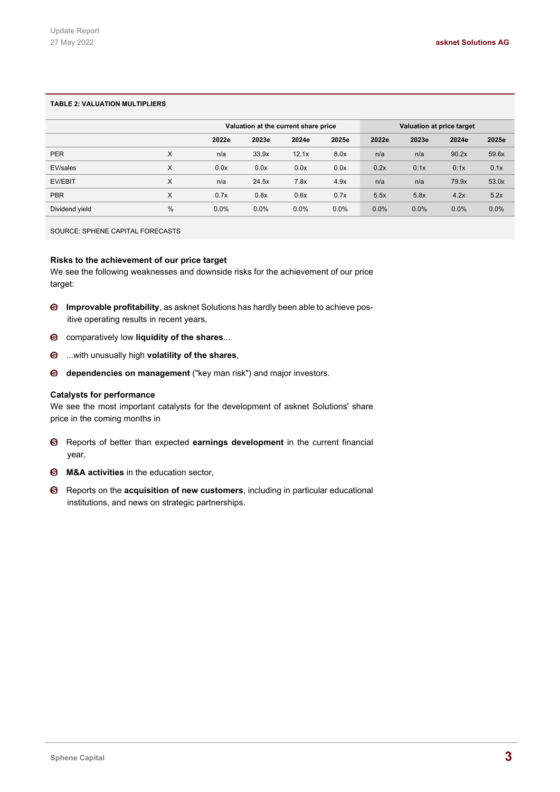### **TABLE 2: VALUATION MULTIPLIERS**

|                |      |       |         | Valuation at the current share price |         |         | Valuation at price target |       |       |
|----------------|------|-------|---------|--------------------------------------|---------|---------|---------------------------|-------|-------|
|                |      | 2022e | 2023e   | 2024e                                | 2025e   | 2022e   | 2023e                     | 2024e | 2025e |
| <b>PER</b>     | X    | n/a   | 33.9x   | 12.1x                                | 8.0x    | n/a     | n/a                       | 90.2x | 59.6x |
| EV/sales       | X    | 0.0x  | 0.0x    | 0.0x                                 | 0.0x    | 0.2x    | 0.1x                      | 0.1x  | 0.1x  |
| <b>EV/EBIT</b> | X    | n/a   | 24.5x   | 7.8x                                 | 4.9x    | n/a     | n/a                       | 79.9x | 53.0x |
| <b>PBR</b>     | X    | 0.7x  | 0.8x    | 0.6x                                 | 0.7x    | 5.5x    | 5.8x                      | 4.2x  | 5.2x  |
| Dividend yield | $\%$ | 0.0%  | $0.0\%$ | 0.0%                                 | $0.0\%$ | $0.0\%$ | 0.0%                      | 0.0%  | 0.0%  |

SOURCE: SPHENE CAPITAL FORECASTS

### **Risks to the achievement of our price target**

We see the following weaknesses and downside risks for the achievement of our price target:

- **Improvable profitability**, as asknet Solutions has hardly been able to achieve positive operating results in recent years,
- comparatively low **liquidity of the shares**...
- ...with unusually high **volatility of the shares**,
- **dependencies on management** ("key man risk") and major investors.

### **Catalysts for performance**

We see the most important catalysts for the development of asknet Solutions' share price in the coming months in

- Reports of better than expected **earnings development** in the current financial year,
- **M&A activities** in the education sector,
- Reports on the **acquisition of new customers**, including in particular educational institutions, and news on strategic partnerships.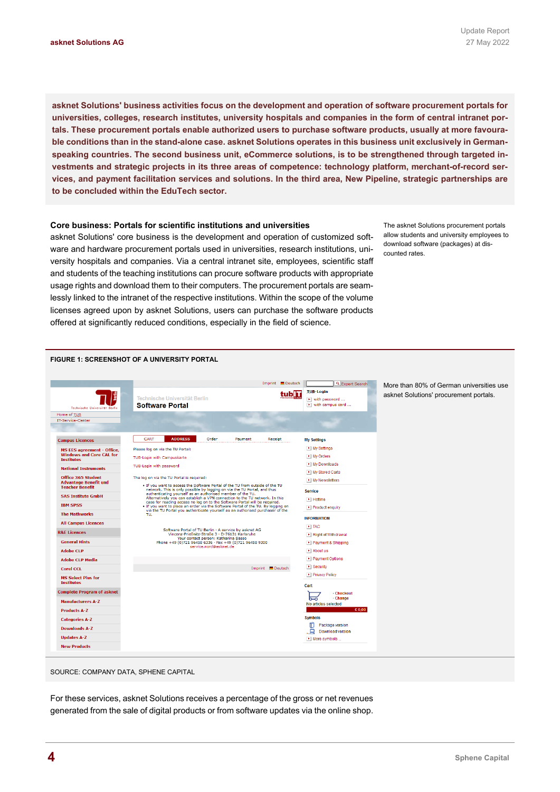**asknet Solutions' business activities focus on the development and operation of software procurement portals for universities, colleges, research institutes, university hospitals and companies in the form of central intranet portals. These procurement portals enable authorized users to purchase software products, usually at more favourable conditions than in the stand-alone case. asknet Solutions operates in this business unit exclusively in Germanspeaking countries. The second business unit, eCommerce solutions, is to be strengthened through targeted investments and strategic projects in its three areas of competence: technology platform, merchant-of-record services, and payment facilitation services and solutions. In the third area, New Pipeline, strategic partnerships are to be concluded within the EduTech sector.** 

### **Core business: Portals for scientific institutions and universities**

asknet Solutions' core business is the development and operation of customized software and hardware procurement portals used in universities, research institutions, university hospitals and companies. Via a central intranet site, employees, scientific staff and students of the teaching institutions can procure software products with appropriate usage rights and download them to their computers. The procurement portals are seamlessly linked to the intranet of the respective institutions. Within the scope of the volume licenses agreed upon by asknet Solutions, users can purchase the software products offered at significantly reduced conditions, especially in the field of science.

The asknet Solutions procurement portals allow students and university employees to download software (packages) at discounted rates.



SOURCE: COMPANY DATA, SPHENE CAPITAL

For these services, asknet Solutions receives a percentage of the gross or net revenues generated from the sale of digital products or from software updates via the online shop.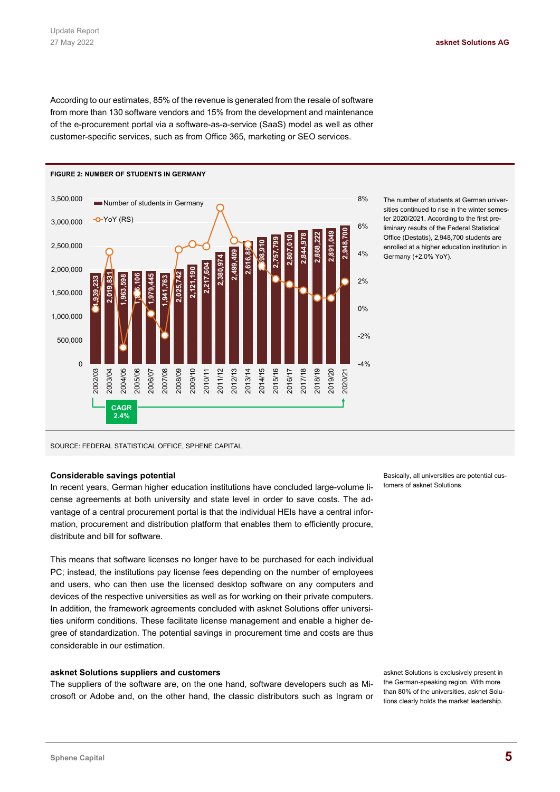According to our estimates, 85% of the revenue is generated from the resale of software from more than 130 software vendors and 15% from the development and maintenance of the e-procurement portal via a software-as-a-service (SaaS) model as well as other customer-specific services, such as from Office 365, marketing or SEO services.



The number of students at German universities continued to rise in the winter semester 2020/2021. According to the first preliminary results of the Federal Statistical Office (Destatis), 2,948,700 students are enrolled at a higher education institution in Germany (+2.0% YoY).

SOURCE: FEDERAL STATISTICAL OFFICE, SPHENE CAPITAL

### **Considerable savings potential**

In recent years, German higher education institutions have concluded large-volume license agreements at both university and state level in order to save costs. The advantage of a central procurement portal is that the individual HEIs have a central information, procurement and distribution platform that enables them to efficiently procure, distribute and bill for software.

This means that software licenses no longer have to be purchased for each individual PC; instead, the institutions pay license fees depending on the number of employees and users, who can then use the licensed desktop software on any computers and devices of the respective universities as well as for working on their private computers. In addition, the framework agreements concluded with asknet Solutions offer universities uniform conditions. These facilitate license management and enable a higher degree of standardization. The potential savings in procurement time and costs are thus considerable in our estimation.

### **asknet Solutions suppliers and customers**

The suppliers of the software are, on the one hand, software developers such as Microsoft or Adobe and, on the other hand, the classic distributors such as Ingram or Basically, all universities are potential customers of asknet Solutions.

asknet Solutions is exclusively present in the German-speaking region. With more than 80% of the universities, asknet Solutions clearly holds the market leadership.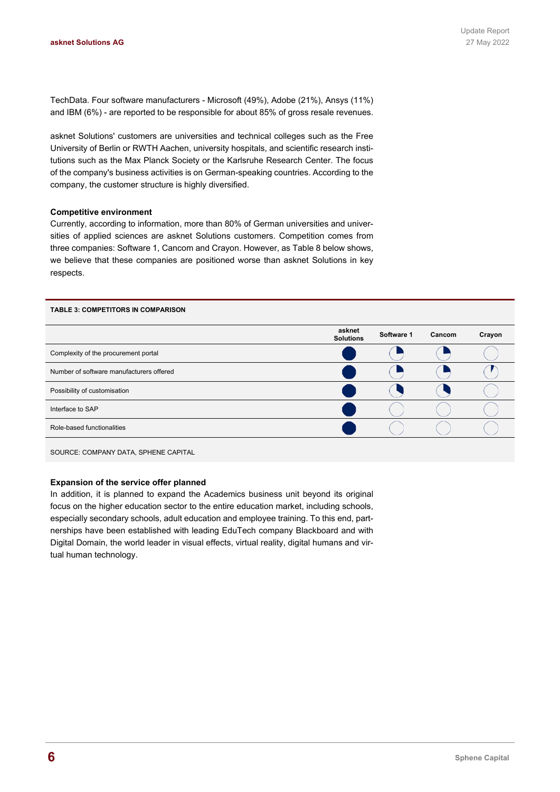TechData. Four software manufacturers - Microsoft (49%), Adobe (21%), Ansys (11%) and IBM (6%) - are reported to be responsible for about 85% of gross resale revenues.

asknet Solutions' customers are universities and technical colleges such as the Free University of Berlin or RWTH Aachen, university hospitals, and scientific research institutions such as the Max Planck Society or the Karlsruhe Research Center. The focus of the company's business activities is on German-speaking countries. According to the company, the customer structure is highly diversified.

### **Competitive environment**

Currently, according to information, more than 80% of German universities and universities of applied sciences are asknet Solutions customers. Competition comes from three companies: Software 1, Cancom and Crayon. However, as Table 8 below shows, we believe that these companies are positioned worse than asknet Solutions in key respects.



SOURCE: COMPANY DATA, SPHENE CAPITAL

#### **Expansion of the service offer planned**

In addition, it is planned to expand the Academics business unit beyond its original focus on the higher education sector to the entire education market, including schools, especially secondary schools, adult education and employee training. To this end, partnerships have been established with leading EduTech company Blackboard and with Digital Domain, the world leader in visual effects, virtual reality, digital humans and virtual human technology.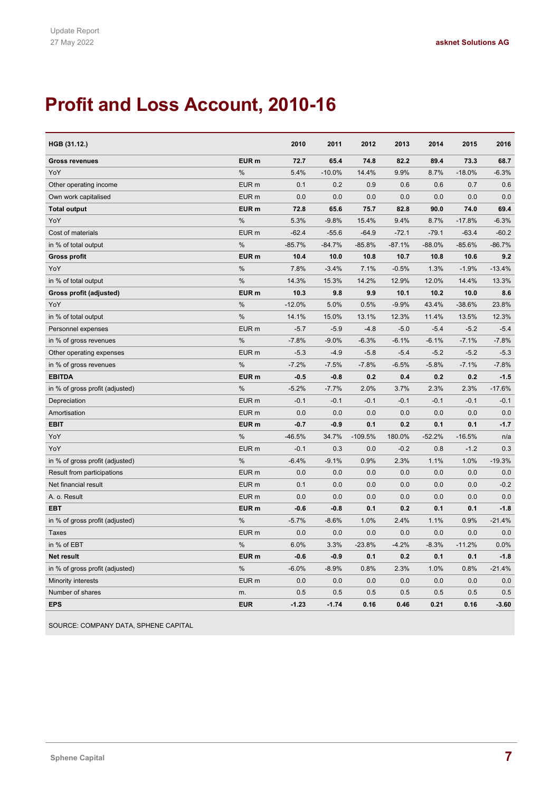# **Profit and Loss Account, 2010-16**

| HGB (31.12.)                    |                  | 2010     | 2011     | 2012      | 2013     | 2014     | 2015     | 2016     |
|---------------------------------|------------------|----------|----------|-----------|----------|----------|----------|----------|
| <b>Gross revenues</b>           | EUR <sub>m</sub> | 72.7     | 65.4     | 74.8      | 82.2     | 89.4     | 73.3     | 68.7     |
| YoY                             | %                | 5.4%     | $-10.0%$ | 14.4%     | 9.9%     | 8.7%     | $-18.0%$ | $-6.3%$  |
| Other operating income          | EUR <sub>m</sub> | 0.1      | 0.2      | 0.9       | 0.6      | 0.6      | 0.7      | 0.6      |
| Own work capitalised            | EUR <sub>m</sub> | 0.0      | 0.0      | 0.0       | 0.0      | 0.0      | 0.0      | 0.0      |
| <b>Total output</b>             | EUR <sub>m</sub> | 72.8     | 65.6     | 75.7      | 82.8     | 90.0     | 74.0     | 69.4     |
| YoY                             | %                | 5.3%     | $-9.8%$  | 15.4%     | 9.4%     | 8.7%     | $-17.8%$ | $-6.3%$  |
| Cost of materials               | EUR <sub>m</sub> | $-62.4$  | $-55.6$  | $-64.9$   | $-72.1$  | $-79.1$  | $-63.4$  | $-60.2$  |
| in % of total output            | %                | $-85.7%$ | $-84.7%$ | $-85.8%$  | $-87.1%$ | $-88.0%$ | $-85.6%$ | $-86.7%$ |
| <b>Gross profit</b>             | EUR <sub>m</sub> | 10.4     | 10.0     | 10.8      | 10.7     | 10.8     | 10.6     | 9.2      |
| YoY                             | %                | 7.8%     | $-3.4%$  | 7.1%      | $-0.5%$  | 1.3%     | $-1.9%$  | $-13.4%$ |
| in % of total output            | %                | 14.3%    | 15.3%    | 14.2%     | 12.9%    | 12.0%    | 14.4%    | 13.3%    |
| Gross profit (adjusted)         | EUR <sub>m</sub> | 10.3     | 9.8      | 9.9       | 10.1     | 10.2     | 10.0     | 8.6      |
| YoY                             | %                | $-12.0%$ | 5.0%     | 0.5%      | $-9.9%$  | 43.4%    | $-38.6%$ | 23.8%    |
| in % of total output            | %                | 14.1%    | 15.0%    | 13.1%     | 12.3%    | 11.4%    | 13.5%    | 12.3%    |
| Personnel expenses              | EUR <sub>m</sub> | $-5.7$   | $-5.9$   | $-4.8$    | $-5.0$   | $-5.4$   | $-5.2$   | $-5.4$   |
| in % of gross revenues          | %                | $-7.8%$  | $-9.0%$  | $-6.3%$   | $-6.1%$  | $-6.1%$  | $-7.1%$  | $-7.8%$  |
| Other operating expenses        | EUR <sub>m</sub> | $-5.3$   | $-4.9$   | $-5.8$    | $-5.4$   | $-5.2$   | $-5.2$   | $-5.3$   |
| in % of gross revenues          | %                | $-7.2%$  | $-7.5%$  | $-7.8%$   | $-6.5%$  | $-5.8%$  | $-7.1%$  | $-7.8%$  |
| <b>EBITDA</b>                   | EUR <sub>m</sub> | $-0.5$   | $-0.8$   | 0.2       | 0.4      | 0.2      | 0.2      | $-1.5$   |
| in % of gross profit (adjusted) | %                | $-5.2%$  | $-7.7%$  | 2.0%      | 3.7%     | 2.3%     | 2.3%     | $-17.6%$ |
| Depreciation                    | EUR <sub>m</sub> | $-0.1$   | $-0.1$   | $-0.1$    | $-0.1$   | $-0.1$   | $-0.1$   | $-0.1$   |
| Amortisation                    | EUR <sub>m</sub> | 0.0      | 0.0      | 0.0       | 0.0      | 0.0      | 0.0      | 0.0      |
| <b>EBIT</b>                     | EUR <sub>m</sub> | -0.7     | $-0.9$   | 0.1       | 0.2      | 0.1      | 0.1      | $-1.7$   |
| YoY                             | %                | $-46.5%$ | 34.7%    | $-109.5%$ | 180.0%   | $-52.2%$ | $-16.5%$ | n/a      |
| YoY                             | EUR <sub>m</sub> | $-0.1$   | 0.3      | 0.0       | $-0.2$   | 0.8      | $-1.2$   | 0.3      |
| in % of gross profit (adjusted) | $\frac{0}{0}$    | $-6.4%$  | $-9.1%$  | 0.9%      | 2.3%     | 1.1%     | 1.0%     | $-19.3%$ |
| Result from participations      | EUR <sub>m</sub> | 0.0      | 0.0      | 0.0       | 0.0      | 0.0      | 0.0      | 0.0      |
| Net financial result            | EUR <sub>m</sub> | 0.1      | 0.0      | 0.0       | 0.0      | 0.0      | 0.0      | $-0.2$   |
| A. o. Result                    | EUR <sub>m</sub> | 0.0      | 0.0      | 0.0       | 0.0      | 0.0      | 0.0      | 0.0      |
| <b>EBT</b>                      | EUR <sub>m</sub> | $-0.6$   | $-0.8$   | 0.1       | 0.2      | 0.1      | 0.1      | $-1.8$   |
| in % of gross profit (adjusted) | %                | $-5.7%$  | $-8.6%$  | 1.0%      | 2.4%     | 1.1%     | 0.9%     | $-21.4%$ |
| <b>Taxes</b>                    | EUR <sub>m</sub> | 0.0      | 0.0      | 0.0       | 0.0      | 0.0      | 0.0      | 0.0      |
| in % of EBT                     | %                | 6.0%     | 3.3%     | $-23.8%$  | $-4.2%$  | $-8.3%$  | $-11.2%$ | 0.0%     |
| <b>Net result</b>               | EUR <sub>m</sub> | $-0.6$   | $-0.9$   | 0.1       | 0.2      | 0.1      | 0.1      | $-1.8$   |
| in % of gross profit (adjusted) | %                | $-6.0%$  | $-8.9%$  | 0.8%      | 2.3%     | 1.0%     | 0.8%     | $-21.4%$ |
| Minority interests              | EUR <sub>m</sub> | 0.0      | 0.0      | 0.0       | 0.0      | 0.0      | 0.0      | 0.0      |
| Number of shares                | m.               | 0.5      | 0.5      | 0.5       | 0.5      | 0.5      | 0.5      | 0.5      |
| <b>EPS</b>                      | <b>EUR</b>       | $-1.23$  | $-1.74$  | 0.16      | 0.46     | 0.21     | 0.16     | $-3.60$  |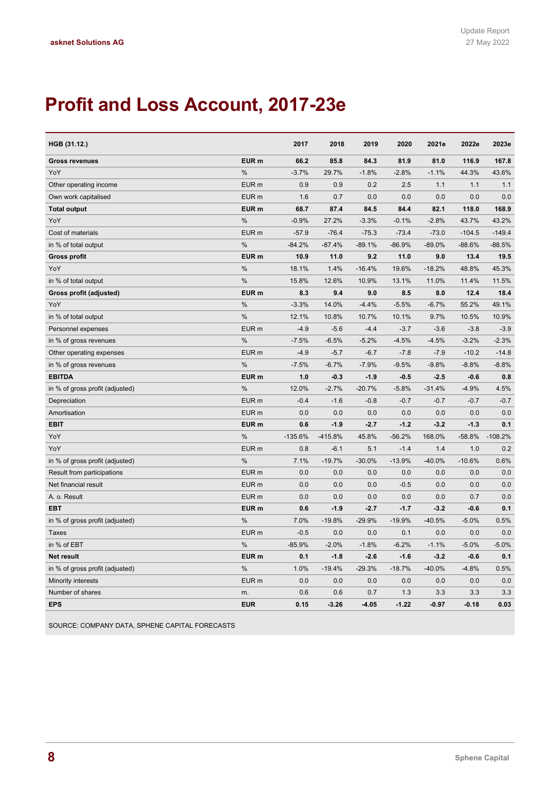# **Profit and Loss Account, 2017-23e**

| HGB (31.12.)                    |                  | 2017      | 2018      | 2019     | 2020     | 2021e    | 2022e    | 2023e     |
|---------------------------------|------------------|-----------|-----------|----------|----------|----------|----------|-----------|
| <b>Gross revenues</b>           | EUR <sub>m</sub> | 66.2      | 85.8      | 84.3     | 81.9     | 81.0     | 116.9    | 167.8     |
| YoY                             | %                | $-3.7%$   | 29.7%     | $-1.8%$  | $-2.8%$  | $-1.1%$  | 44.3%    | 43.6%     |
| Other operating income          | EUR <sub>m</sub> | 0.9       | 0.9       | 0.2      | 2.5      | 1.1      | 1.1      | 1.1       |
| Own work capitalised            | EUR <sub>m</sub> | 1.6       | 0.7       | 0.0      | 0.0      | 0.0      | 0.0      | 0.0       |
| <b>Total output</b>             | EUR <sub>m</sub> | 68.7      | 87.4      | 84.5     | 84.4     | 82.1     | 118.0    | 168.9     |
| YoY                             | $\%$             | $-0.9%$   | 27.2%     | $-3.3%$  | $-0.1%$  | $-2.8%$  | 43.7%    | 43.2%     |
| Cost of materials               | EUR <sub>m</sub> | $-57.9$   | $-76.4$   | $-75.3$  | $-73.4$  | $-73.0$  | $-104.5$ | $-149.4$  |
| in % of total output            | $\%$             | $-84.2%$  | $-87.4%$  | $-89.1%$ | $-86.9%$ | $-89.0%$ | $-88.6%$ | $-88.5%$  |
| <b>Gross profit</b>             | EUR <sub>m</sub> | 10.9      | 11.0      | 9.2      | 11.0     | 9.0      | 13.4     | 19.5      |
| YoY                             | $\%$             | 18.1%     | 1.4%      | $-16.4%$ | 19.6%    | $-18.2%$ | 48.8%    | 45.3%     |
| in % of total output            | %                | 15.8%     | 12.6%     | 10.9%    | 13.1%    | 11.0%    | 11.4%    | 11.5%     |
| Gross profit (adjusted)         | EUR <sub>m</sub> | 8.3       | 9.4       | 9.0      | 8.5      | 8.0      | 12.4     | 18.4      |
| YoY                             | %                | $-3.3%$   | 14.0%     | $-4.4%$  | $-5.5%$  | $-6.7%$  | 55.2%    | 49.1%     |
| in % of total output            | $\%$             | 12.1%     | 10.8%     | 10.7%    | 10.1%    | 9.7%     | 10.5%    | 10.9%     |
| Personnel expenses              | EUR <sub>m</sub> | $-4.9$    | $-5.6$    | $-4.4$   | $-3.7$   | $-3.6$   | $-3.8$   | $-3.9$    |
| in % of gross revenues          | $\%$             | $-7.5%$   | $-6.5%$   | $-5.2%$  | $-4.5%$  | $-4.5%$  | $-3.2%$  | $-2.3%$   |
| Other operating expenses        | EUR <sub>m</sub> | $-4.9$    | $-5.7$    | $-6.7$   | $-7.8$   | $-7.9$   | $-10.2$  | $-14.8$   |
| in % of gross revenues          | $\%$             | $-7.5%$   | $-6.7%$   | $-7.9%$  | $-9.5%$  | $-9.8%$  | $-8.8%$  | $-8.8%$   |
| <b>EBITDA</b>                   | EUR <sub>m</sub> | 1.0       | $-0.3$    | $-1.9$   | $-0.5$   | $-2.5$   | $-0.6$   | 0.8       |
| in % of gross profit (adjusted) | $\%$             | 12.0%     | $-2.7%$   | $-20.7%$ | $-5.8%$  | $-31.4%$ | $-4.9%$  | 4.5%      |
| Depreciation                    | EUR <sub>m</sub> | $-0.4$    | $-1.6$    | $-0.8$   | $-0.7$   | $-0.7$   | $-0.7$   | $-0.7$    |
| Amortisation                    | EUR <sub>m</sub> | 0.0       | 0.0       | 0.0      | 0.0      | 0.0      | 0.0      | 0.0       |
| <b>EBIT</b>                     | EUR <sub>m</sub> | 0.6       | $-1.9$    | $-2.7$   | $-1.2$   | $-3.2$   | $-1.3$   | 0.1       |
| YoY                             | %                | $-135.6%$ | $-415.8%$ | 45.8%    | $-56.2%$ | 168.0%   | $-58.8%$ | $-108.2%$ |
| YoY                             | EUR <sub>m</sub> | 0.8       | $-6.1$    | 5.1      | $-1.4$   | 1.4      | 1.0      | 0.2       |
| in % of gross profit (adjusted) | %                | 7.1%      | $-19.7%$  | $-30.0%$ | $-13.9%$ | $-40.0%$ | $-10.6%$ | 0.6%      |
| Result from participations      | EUR <sub>m</sub> | 0.0       | 0.0       | 0.0      | 0.0      | 0.0      | 0.0      | 0.0       |
| Net financial result            | EUR <sub>m</sub> | 0.0       | 0.0       | 0.0      | $-0.5$   | 0.0      | 0.0      | 0.0       |
| A. o. Result                    | EUR <sub>m</sub> | 0.0       | 0.0       | 0.0      | 0.0      | 0.0      | 0.7      | 0.0       |
| EBT                             | EUR <sub>m</sub> | 0.6       | $-1.9$    | $-2.7$   | $-1.7$   | $-3.2$   | $-0.6$   | 0.1       |
| in % of gross profit (adjusted) | $\%$             | 7.0%      | $-19.8%$  | $-29.9%$ | $-19.9%$ | $-40.5%$ | $-5.0%$  | 0.5%      |
| <b>Taxes</b>                    | EUR <sub>m</sub> | $-0.5$    | 0.0       | 0.0      | 0.1      | 0.0      | 0.0      | 0.0       |
| in % of EBT                     | %                | $-85.9%$  | $-2.0%$   | $-1.8%$  | $-6.2%$  | $-1.1%$  | $-5.0%$  | $-5.0%$   |
| <b>Net result</b>               | EUR <sub>m</sub> | 0.1       | $-1.8$    | $-2.6$   | $-1.6$   | $-3.2$   | $-0.6$   | 0.1       |
| in % of gross profit (adjusted) | %                | 1.0%      | $-19.4%$  | $-29.3%$ | $-18.7%$ | $-40.0%$ | $-4.8%$  | 0.5%      |
| Minority interests              | EUR <sub>m</sub> | 0.0       | 0.0       | 0.0      | 0.0      | 0.0      | 0.0      | 0.0       |
| Number of shares                | m.               | 0.6       | 0.6       | 0.7      | 1.3      | 3.3      | 3.3      | 3.3       |
| <b>EPS</b>                      | <b>EUR</b>       | 0.15      | $-3.26$   | $-4.05$  | $-1.22$  | $-0.97$  | $-0.18$  | 0.03      |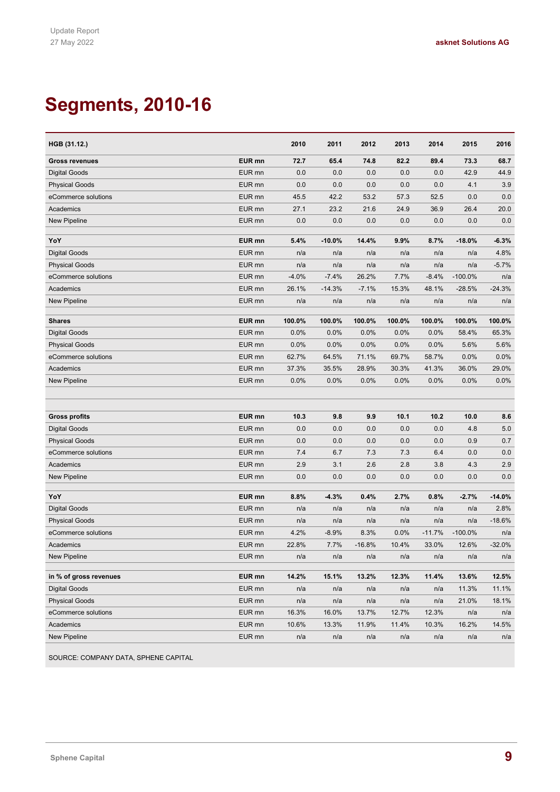# **Segments, 2010-16**

| HGB (31.12.)                            |                   | 2010    | 2011     | 2012     | 2013   | 2014     | 2015      | 2016     |
|-----------------------------------------|-------------------|---------|----------|----------|--------|----------|-----------|----------|
| <b>Gross revenues</b>                   | EUR mn            | 72.7    | 65.4     | 74.8     | 82.2   | 89.4     | 73.3      | 68.7     |
| Digital Goods                           | EUR mn            | 0.0     | 0.0      | 0.0      | 0.0    | 0.0      | 42.9      | 44.9     |
| <b>Physical Goods</b>                   | EUR mn            | 0.0     | 0.0      | 0.0      | 0.0    | 0.0      | 4.1       | 3.9      |
| eCommerce solutions                     | EUR mn            | 45.5    | 42.2     | 53.2     | 57.3   | 52.5     | 0.0       | 0.0      |
| Academics                               | EUR mn            | 27.1    | 23.2     | 21.6     | 24.9   | 36.9     | 26.4      | 20.0     |
| <b>New Pipeline</b>                     | EUR mn            | 0.0     | 0.0      | 0.0      | 0.0    | 0.0      | 0.0       | 0.0      |
|                                         |                   |         |          |          |        |          |           |          |
| YoY                                     | EUR <sub>mn</sub> | 5.4%    | $-10.0%$ | 14.4%    | 9.9%   | 8.7%     | $-18.0%$  | $-6.3%$  |
| <b>Digital Goods</b>                    | EUR mn            | n/a     | n/a      | n/a      | n/a    | n/a      | n/a       | 4.8%     |
| <b>Physical Goods</b>                   | EUR mn            | n/a     | n/a      | n/a      | n/a    | n/a      | n/a       | $-5.7%$  |
| eCommerce solutions                     | EUR mn            | $-4.0%$ | $-7.4%$  | 26.2%    | 7.7%   | $-8.4%$  | $-100.0%$ | n/a      |
| Academics                               | EUR mn            | 26.1%   | $-14.3%$ | $-7.1%$  | 15.3%  | 48.1%    | $-28.5%$  | $-24.3%$ |
| <b>New Pipeline</b>                     | EUR mn            | n/a     | n/a      | n/a      | n/a    | n/a      | n/a       | n/a      |
| <b>Shares</b>                           | EUR mn            | 100.0%  | 100.0%   | 100.0%   | 100.0% | 100.0%   | 100.0%    | 100.0%   |
| <b>Digital Goods</b>                    | EUR mn            | 0.0%    | 0.0%     | 0.0%     | 0.0%   | 0.0%     | 58.4%     | 65.3%    |
| <b>Physical Goods</b>                   | EUR mn            | 0.0%    | 0.0%     | 0.0%     | 0.0%   | 0.0%     | 5.6%      | 5.6%     |
| eCommerce solutions                     | EUR mn            | 62.7%   | 64.5%    | 71.1%    | 69.7%  | 58.7%    | 0.0%      | 0.0%     |
| Academics                               | EUR mn            | 37.3%   | 35.5%    | 28.9%    | 30.3%  | 41.3%    | 36.0%     | 29.0%    |
| New Pipeline                            | EUR mn            | 0.0%    | 0.0%     | 0.0%     | 0.0%   | 0.0%     | 0.0%      | 0.0%     |
|                                         |                   |         |          |          |        |          |           |          |
|                                         |                   |         |          |          |        |          |           |          |
| <b>Gross profits</b>                    | EUR mn            | 10.3    | 9.8      | 9.9      | 10.1   | 10.2     | 10.0      | 8.6      |
| <b>Digital Goods</b>                    | EUR mn            | 0.0     | 0.0      | 0.0      | 0.0    | 0.0      | 4.8       | 5.0      |
| <b>Physical Goods</b>                   | EUR mn            | 0.0     | 0.0      | 0.0      | 0.0    | 0.0      | 0.9       | 0.7      |
| eCommerce solutions                     | EUR mn            | 7.4     | 6.7      | 7.3      | 7.3    | 6.4      | 0.0       | 0.0      |
| Academics                               | EUR mn            | 2.9     | 3.1      | 2.6      | 2.8    | 3.8      | 4.3       | 2.9      |
| New Pipeline                            | EUR mn            | 0.0     | 0.0      | 0.0      | 0.0    | 0.0      | 0.0       | 0.0      |
|                                         |                   |         |          |          |        |          |           |          |
| YoY                                     | EUR mn            | 8.8%    | $-4.3%$  | 0.4%     | 2.7%   | 0.8%     | $-2.7%$   | $-14.0%$ |
| <b>Digital Goods</b>                    | EUR mn            | n/a     | n/a      | n/a      | n/a    | n/a      | n/a       | 2.8%     |
| <b>Physical Goods</b>                   | EUR mn            | n/a     | n/a      | n/a      | n/a    | n/a      | n/a       | $-18.6%$ |
| eCommerce solutions                     | EUR mn            | 4.2%    | $-8.9%$  | 8.3%     | 0.0%   | $-11.7%$ | $-100.0%$ | n/a      |
| Academics                               | EUR mn            | 22.8%   | 7.7%     | $-16.8%$ | 10.4%  | 33.0%    | 12.6%     | $-32.0%$ |
| New Pipeline                            | EUR mn            | n/a     | n/a      | n/a      | n/a    | n/a      | n/a       | n/a      |
|                                         | EUR mn            | 14.2%   | 15.1%    | 13.2%    | 12.3%  | 11.4%    | 13.6%     | 12.5%    |
| in % of gross revenues<br>Digital Goods | EUR mn            | n/a     | n/a      |          |        | n/a      | 11.3%     | 11.1%    |
| <b>Physical Goods</b>                   | EUR mn            |         |          | n/a      | n/a    |          | 21.0%     | 18.1%    |
|                                         |                   | n/a     | n/a      | n/a      | n/a    | n/a      |           |          |
| eCommerce solutions                     | EUR mn            | 16.3%   | 16.0%    | 13.7%    | 12.7%  | 12.3%    | n/a       | n/a      |
| Academics                               | EUR mn            | 10.6%   | 13.3%    | 11.9%    | 11.4%  | 10.3%    | 16.2%     | 14.5%    |
| New Pipeline                            | EUR mn            | n/a     | n/a      | n/a      | n/a    | n/a      | n/a       | n/a      |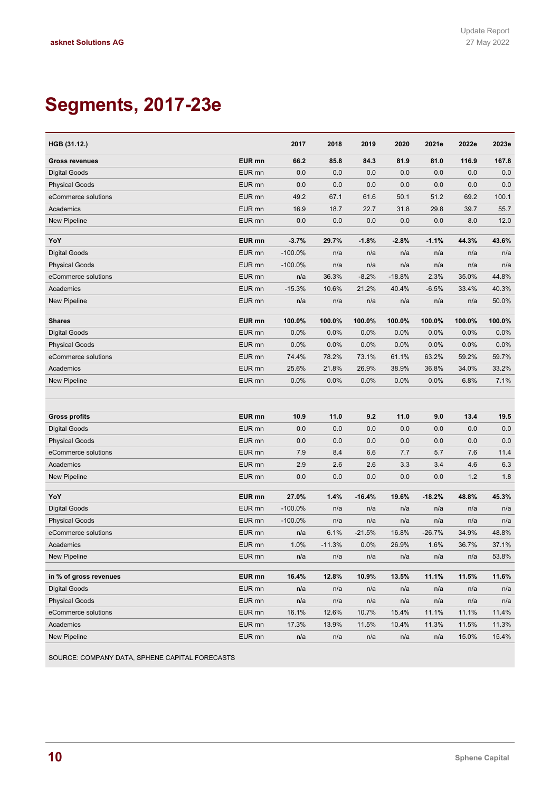# **Segments, 2017-23e**

| HGB (31.12.)                     |                             | 2017        | 2018             | 2019             | 2020           | 2021e            | 2022e  | 2023e          |
|----------------------------------|-----------------------------|-------------|------------------|------------------|----------------|------------------|--------|----------------|
| <b>Gross revenues</b>            | EUR mn                      | 66.2        | 85.8             | 84.3             | 81.9           | 81.0             | 116.9  | 167.8          |
| <b>Digital Goods</b>             | EUR mn                      | 0.0         | 0.0              | 0.0              | 0.0            | 0.0              | 0.0    | 0.0            |
| <b>Physical Goods</b>            | EUR mn                      | 0.0         | 0.0              | 0.0              | 0.0            | 0.0              | 0.0    | 0.0            |
| eCommerce solutions              | EUR <sub>mn</sub>           | 49.2        | 67.1             | 61.6             | 50.1           | 51.2             | 69.2   | 100.1          |
| Academics                        | EUR mn                      | 16.9        | 18.7             | 22.7             | 31.8           | 29.8             | 39.7   | 55.7           |
| <b>New Pipeline</b>              | EUR mn                      | 0.0         | 0.0              | 0.0              | 0.0            | 0.0              | 8.0    | 12.0           |
|                                  |                             |             |                  |                  |                |                  |        |                |
| YoY                              | EUR mn                      | $-3.7%$     | 29.7%            | $-1.8%$          | $-2.8%$        | $-1.1%$          | 44.3%  | 43.6%          |
| <b>Digital Goods</b>             | EUR mn                      | $-100.0\%$  | n/a              | n/a              | n/a            | n/a              | n/a    | n/a            |
| <b>Physical Goods</b>            | EUR mn                      | $-100.0%$   | n/a              | n/a              | n/a            | n/a              | n/a    | n/a            |
| eCommerce solutions              | EUR mn                      | n/a         | 36.3%            | $-8.2%$          | $-18.8%$       | 2.3%             | 35.0%  | 44.8%          |
| Academics                        | EUR mn                      | $-15.3%$    | 10.6%            | 21.2%            | 40.4%          | $-6.5%$          | 33.4%  | 40.3%          |
| New Pipeline                     | EUR mn                      | n/a         | n/a              | n/a              | n/a            | n/a              | n/a    | 50.0%          |
| <b>Shares</b>                    | EUR mn                      | 100.0%      | 100.0%           | 100.0%           | 100.0%         | 100.0%           | 100.0% | 100.0%         |
| <b>Digital Goods</b>             | EUR mn                      | 0.0%        | 0.0%             | 0.0%             | 0.0%           | 0.0%             | 0.0%   | 0.0%           |
| <b>Physical Goods</b>            | EUR mn                      | 0.0%        | 0.0%             | 0.0%             | 0.0%           | 0.0%             | 0.0%   | 0.0%           |
| eCommerce solutions              | EUR mn                      | 74.4%       | 78.2%            | 73.1%            | 61.1%          | 63.2%            | 59.2%  | 59.7%          |
| Academics                        | EUR mn                      | 25.6%       | 21.8%            | 26.9%            | 38.9%          | 36.8%            | 34.0%  | 33.2%          |
| <b>New Pipeline</b>              | EUR mn                      | 0.0%        | 0.0%             | 0.0%             | 0.0%           | 0.0%             | 6.8%   | 7.1%           |
|                                  |                             |             |                  |                  |                |                  |        |                |
|                                  |                             |             |                  |                  |                |                  |        |                |
| <b>Gross profits</b>             | EUR mn                      | 10.9        | 11.0             | 9.2              | 11.0           | 9.0              | 13.4   | 19.5           |
| <b>Digital Goods</b>             | EUR mn                      | 0.0         | 0.0              | 0.0              | 0.0            | 0.0              | 0.0    | 0.0            |
| <b>Physical Goods</b>            | EUR mn                      | 0.0         | 0.0              | 0.0              | 0.0            | 0.0              | 0.0    | 0.0            |
| eCommerce solutions              | EUR mn                      | 7.9         | 8.4              | 6.6              | 7.7            | 5.7              | 7.6    | 11.4           |
| Academics                        | EUR mn                      | 2.9         | 2.6              | 2.6              | 3.3            | 3.4              | 4.6    | 6.3            |
| <b>New Pipeline</b>              | EUR mn                      | 0.0         | 0.0              | 0.0              | 0.0            | 0.0              | 1.2    | 1.8            |
|                                  |                             |             |                  |                  |                |                  |        |                |
| YoY                              | EUR mn<br>EUR mn            | 27.0%       | 1.4%             | $-16.4%$         | 19.6%          | $-18.2%$         | 48.8%  | 45.3%          |
| <b>Digital Goods</b>             |                             | $-100.0%$   | n/a              | n/a              | n/a            | n/a              | n/a    | n/a            |
| <b>Physical Goods</b>            | EUR mn<br>EUR <sub>mn</sub> | $-100.0%$   | n/a              | n/a              | n/a            | n/a              | n/a    | n/a            |
| eCommerce solutions<br>Academics |                             | n/a<br>1.0% | 6.1%<br>$-11.3%$ | $-21.5%$<br>0.0% | 16.8%<br>26.9% | $-26.7%$<br>1.6% | 34.9%  | 48.8%<br>37.1% |
|                                  | EUR mn                      |             |                  |                  |                |                  | 36.7%  | 53.8%          |
| New Pipeline                     | EUR mn                      | n/a         | n/a              | n/a              | n/a            | n/a              | n/a    |                |
| in % of gross revenues           | EUR mn                      | 16.4%       | 12.8%            | 10.9%            | 13.5%          | 11.1%            | 11.5%  | 11.6%          |
| Digital Goods                    | EUR mn                      | n/a         | n/a              | n/a              | n/a            | n/a              | n/a    | n/a            |
| <b>Physical Goods</b>            | EUR mn                      | n/a         | n/a              | n/a              | n/a            | n/a              | n/a    | n/a            |
| eCommerce solutions              | EUR mn                      | 16.1%       | 12.6%            | 10.7%            | 15.4%          | 11.1%            | 11.1%  | 11.4%          |
| Academics                        | EUR mn                      | 17.3%       | 13.9%            | 11.5%            | 10.4%          | 11.3%            | 11.5%  | 11.3%          |
| New Pipeline                     | EUR mn                      | n/a         | n/a              | n/a              | n/a            | n/a              | 15.0%  | 15.4%          |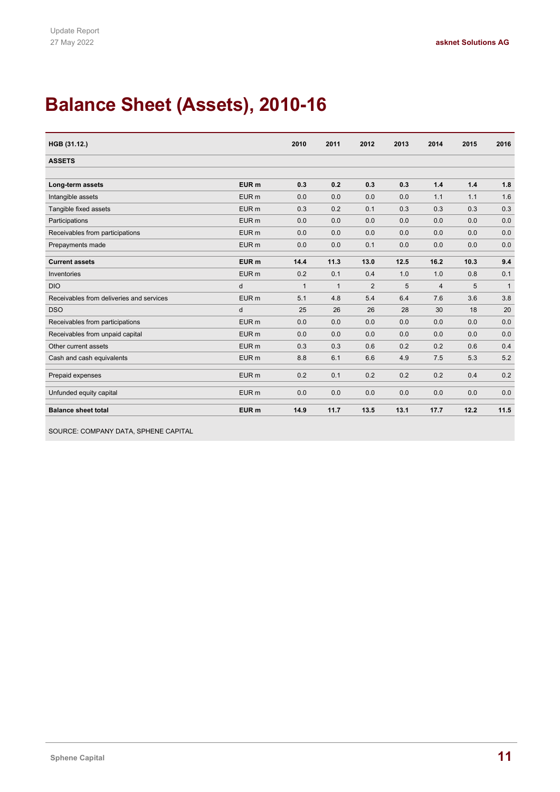# **Balance Sheet (Assets), 2010-16**

| HGB (31.12.)                             |                  | 2010         | 2011           | 2012           | 2013 | 2014           | 2015 | 2016           |
|------------------------------------------|------------------|--------------|----------------|----------------|------|----------------|------|----------------|
| <b>ASSETS</b>                            |                  |              |                |                |      |                |      |                |
|                                          |                  |              |                |                |      |                |      |                |
| Long-term assets                         | EUR <sub>m</sub> | 0.3          | 0.2            | 0.3            | 0.3  | 1.4            | 1.4  | 1.8            |
| Intangible assets                        | EUR <sub>m</sub> | 0.0          | 0.0            | 0.0            | 0.0  | 1.1            | 1.1  | 1.6            |
| Tangible fixed assets                    | EUR <sub>m</sub> | 0.3          | 0.2            | 0.1            | 0.3  | 0.3            | 0.3  | 0.3            |
| Participations                           | EUR <sub>m</sub> | 0.0          | 0.0            | 0.0            | 0.0  | 0.0            | 0.0  | 0.0            |
| Receivables from participations          | EUR <sub>m</sub> | 0.0          | 0.0            | 0.0            | 0.0  | 0.0            | 0.0  | 0.0            |
| Prepayments made                         | EUR <sub>m</sub> | 0.0          | 0.0            | 0.1            | 0.0  | 0.0            | 0.0  | 0.0            |
| <b>Current assets</b>                    | EUR <sub>m</sub> | 14.4         | 11.3           | 13.0           | 12.5 | 16.2           | 10.3 | 9.4            |
| Inventories                              | EUR <sub>m</sub> | 0.2          | 0.1            | 0.4            | 1.0  | 1.0            | 0.8  | 0.1            |
| <b>DIO</b>                               | d                | $\mathbf{1}$ | $\overline{1}$ | $\overline{2}$ | 5    | $\overline{4}$ | 5    | $\overline{1}$ |
| Receivables from deliveries and services | EUR <sub>m</sub> | 5.1          | 4.8            | 5.4            | 6.4  | 7.6            | 3.6  | 3.8            |
| <b>DSO</b>                               | d                | 25           | 26             | 26             | 28   | 30             | 18   | 20             |
| Receivables from participations          | EUR <sub>m</sub> | 0.0          | 0.0            | 0.0            | 0.0  | 0.0            | 0.0  | 0.0            |
| Receivables from unpaid capital          | EUR <sub>m</sub> | 0.0          | 0.0            | 0.0            | 0.0  | 0.0            | 0.0  | 0.0            |
| Other current assets                     | EUR <sub>m</sub> | 0.3          | 0.3            | 0.6            | 0.2  | 0.2            | 0.6  | 0.4            |
| Cash and cash equivalents                | EUR <sub>m</sub> | 8.8          | 6.1            | 6.6            | 4.9  | 7.5            | 5.3  | 5.2            |
| Prepaid expenses                         | EUR <sub>m</sub> | 0.2          | 0.1            | 0.2            | 0.2  | 0.2            | 0.4  | 0.2            |
| Unfunded equity capital                  | EUR <sub>m</sub> | 0.0          | 0.0            | 0.0            | 0.0  | 0.0            | 0.0  | 0.0            |
| <b>Balance sheet total</b>               | EUR <sub>m</sub> | 14.9         | 11.7           | 13.5           | 13.1 | 17.7           | 12.2 | 11.5           |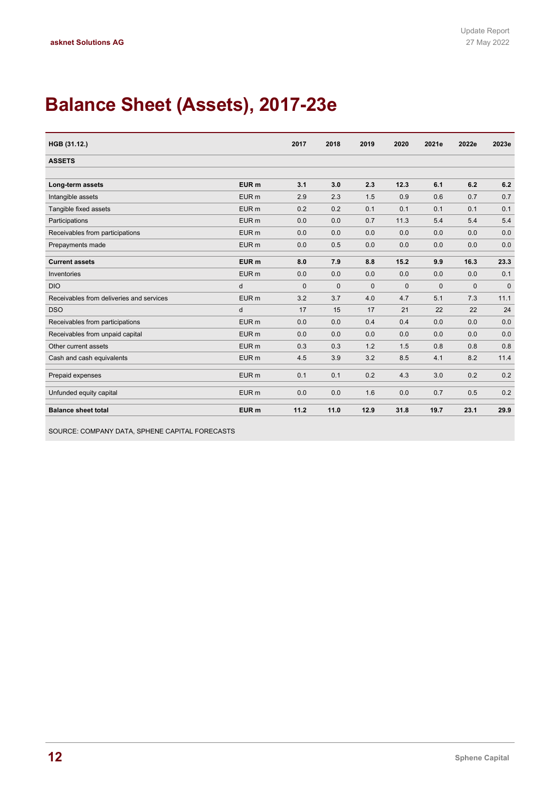# **Balance Sheet (Assets), 2017-23e**

| HGB (31.12.)                             |                  | 2017         | 2018         | 2019         | 2020        | 2021e        | 2022e        | 2023e        |
|------------------------------------------|------------------|--------------|--------------|--------------|-------------|--------------|--------------|--------------|
| <b>ASSETS</b>                            |                  |              |              |              |             |              |              |              |
|                                          |                  |              |              |              |             |              |              |              |
| Long-term assets                         | EUR <sub>m</sub> | 3.1          | 3.0          | 2.3          | 12.3        | 6.1          | 6.2          | 6.2          |
| Intangible assets                        | EUR <sub>m</sub> | 2.9          | 2.3          | 1.5          | 0.9         | 0.6          | 0.7          | 0.7          |
| Tangible fixed assets                    | EUR <sub>m</sub> | 0.2          | 0.2          | 0.1          | 0.1         | 0.1          | 0.1          | 0.1          |
| Participations                           | EUR <sub>m</sub> | 0.0          | 0.0          | 0.7          | 11.3        | 5.4          | 5.4          | 5.4          |
| Receivables from participations          | EUR <sub>m</sub> | 0.0          | 0.0          | 0.0          | 0.0         | 0.0          | 0.0          | 0.0          |
| Prepayments made                         | EUR <sub>m</sub> | 0.0          | 0.5          | 0.0          | 0.0         | 0.0          | 0.0          | 0.0          |
| <b>Current assets</b>                    | EUR <sub>m</sub> | 8.0          | 7.9          | 8.8          | 15.2        | 9.9          | 16.3         | 23.3         |
| Inventories                              | EUR <sub>m</sub> | 0.0          | 0.0          | 0.0          | 0.0         | 0.0          | 0.0          | 0.1          |
| <b>DIO</b>                               | d                | $\mathbf{0}$ | $\mathbf{0}$ | $\mathbf{0}$ | $\mathbf 0$ | $\mathbf{0}$ | $\mathbf{0}$ | $\mathbf{0}$ |
| Receivables from deliveries and services | EUR <sub>m</sub> | 3.2          | 3.7          | 4.0          | 4.7         | 5.1          | 7.3          | 11.1         |
| <b>DSO</b>                               | d                | 17           | 15           | 17           | 21          | 22           | 22           | 24           |
| Receivables from participations          | EUR <sub>m</sub> | 0.0          | 0.0          | 0.4          | 0.4         | 0.0          | 0.0          | 0.0          |
| Receivables from unpaid capital          | EUR <sub>m</sub> | 0.0          | 0.0          | 0.0          | 0.0         | 0.0          | 0.0          | 0.0          |
| Other current assets                     | EUR <sub>m</sub> | 0.3          | 0.3          | 1.2          | 1.5         | 0.8          | 0.8          | 0.8          |
| Cash and cash equivalents                | EUR <sub>m</sub> | 4.5          | 3.9          | 3.2          | 8.5         | 4.1          | 8.2          | 11.4         |
| Prepaid expenses                         | EUR <sub>m</sub> | 0.1          | 0.1          | 0.2          | 4.3         | 3.0          | 0.2          | 0.2          |
| Unfunded equity capital                  | EUR <sub>m</sub> | 0.0          | 0.0          | 1.6          | 0.0         | 0.7          | 0.5          | 0.2          |
| <b>Balance sheet total</b>               | EUR <sub>m</sub> | 11.2         | 11.0         | 12.9         | 31.8        | 19.7         | 23.1         | 29.9         |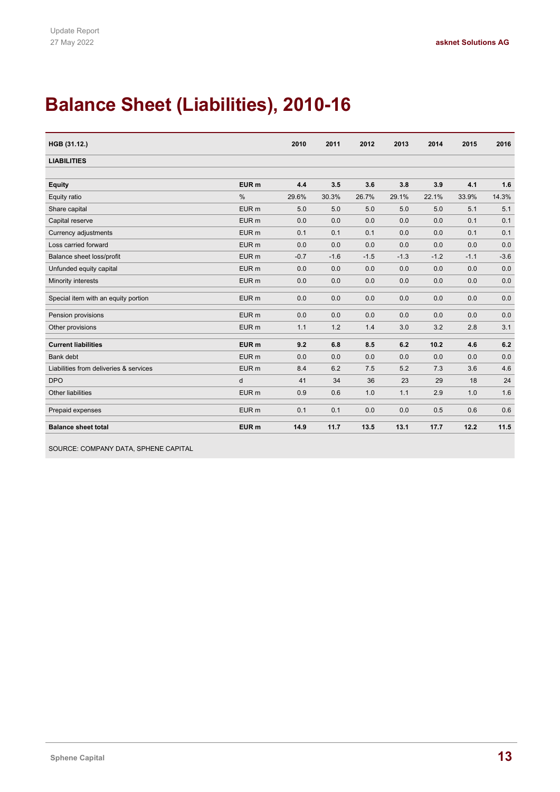# **Balance Sheet (Liabilities), 2010-16**

| HGB (31.12.)                           |                  | 2010   | 2011   | 2012   | 2013   | 2014   | 2015   | 2016   |
|----------------------------------------|------------------|--------|--------|--------|--------|--------|--------|--------|
| <b>LIABILITIES</b>                     |                  |        |        |        |        |        |        |        |
|                                        |                  |        |        |        |        |        |        |        |
| <b>Equity</b>                          | EUR <sub>m</sub> | 4.4    | 3.5    | 3.6    | 3.8    | 3.9    | 4.1    | 1.6    |
| Equity ratio                           | $\frac{0}{0}$    | 29.6%  | 30.3%  | 26.7%  | 29.1%  | 22.1%  | 33.9%  | 14.3%  |
| Share capital                          | EUR <sub>m</sub> | 5.0    | 5.0    | 5.0    | 5.0    | 5.0    | 5.1    | 5.1    |
| Capital reserve                        | EUR <sub>m</sub> | 0.0    | 0.0    | 0.0    | 0.0    | 0.0    | 0.1    | 0.1    |
| Currency adjustments                   | EUR <sub>m</sub> | 0.1    | 0.1    | 0.1    | 0.0    | 0.0    | 0.1    | 0.1    |
| Loss carried forward                   | EUR <sub>m</sub> | 0.0    | 0.0    | 0.0    | 0.0    | 0.0    | 0.0    | 0.0    |
| Balance sheet loss/profit              | EUR <sub>m</sub> | $-0.7$ | $-1.6$ | $-1.5$ | $-1.3$ | $-1.2$ | $-1.1$ | $-3.6$ |
| Unfunded equity capital                | EUR <sub>m</sub> | 0.0    | 0.0    | 0.0    | 0.0    | 0.0    | 0.0    | 0.0    |
| Minority interests                     | EUR <sub>m</sub> | 0.0    | 0.0    | 0.0    | 0.0    | 0.0    | 0.0    | 0.0    |
| Special item with an equity portion    | EUR <sub>m</sub> | 0.0    | 0.0    | 0.0    | 0.0    | 0.0    | 0.0    | 0.0    |
| Pension provisions                     | EUR <sub>m</sub> | 0.0    | 0.0    | 0.0    | 0.0    | 0.0    | 0.0    | 0.0    |
| Other provisions                       | EUR <sub>m</sub> | 1.1    | 1.2    | 1.4    | 3.0    | 3.2    | 2.8    | 3.1    |
| <b>Current liabilities</b>             | EUR <sub>m</sub> | 9.2    | 6.8    | 8.5    | 6.2    | 10.2   | 4.6    | 6.2    |
| <b>Bank debt</b>                       | EUR <sub>m</sub> | 0.0    | 0.0    | 0.0    | 0.0    | 0.0    | 0.0    | 0.0    |
| Liabilities from deliveries & services | EUR <sub>m</sub> | 8.4    | 6.2    | 7.5    | 5.2    | 7.3    | 3.6    | 4.6    |
| <b>DPO</b>                             | d                | 41     | 34     | 36     | 23     | 29     | 18     | 24     |
| Other liabilities                      | EUR <sub>m</sub> | 0.9    | 0.6    | 1.0    | 1.1    | 2.9    | 1.0    | 1.6    |
| Prepaid expenses                       | EUR <sub>m</sub> | 0.1    | 0.1    | 0.0    | 0.0    | 0.5    | 0.6    | 0.6    |
| <b>Balance sheet total</b>             | EUR <sub>m</sub> | 14.9   | 11.7   | 13.5   | 13.1   | 17.7   | 12.2   | 11.5   |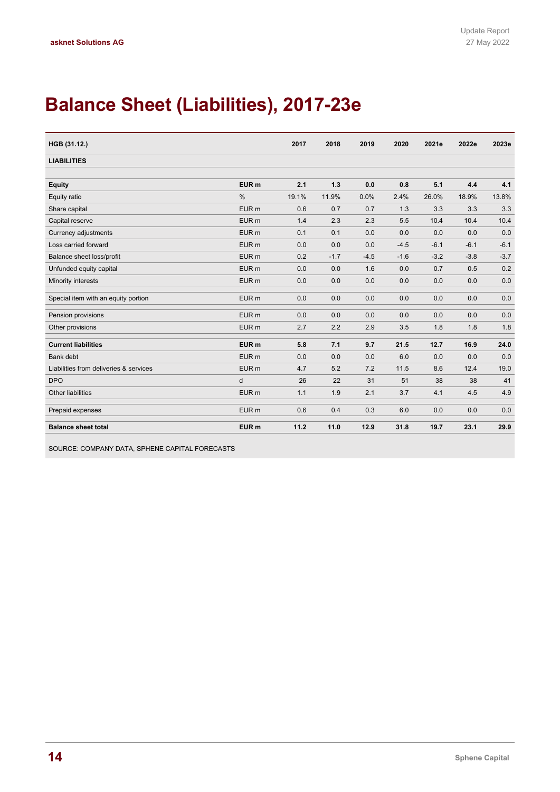# **Balance Sheet (Liabilities), 2017-23e**

| HGB (31.12.)                           |                  | 2017  | 2018   | 2019   | 2020   | 2021e  | 2022e  | 2023e  |
|----------------------------------------|------------------|-------|--------|--------|--------|--------|--------|--------|
| <b>LIABILITIES</b>                     |                  |       |        |        |        |        |        |        |
|                                        |                  |       |        |        |        |        |        |        |
| <b>Equity</b>                          | EUR <sub>m</sub> | 2.1   | 1.3    | 0.0    | 0.8    | 5.1    | 4.4    | 4.1    |
| Equity ratio                           | $\frac{0}{0}$    | 19.1% | 11.9%  | 0.0%   | 2.4%   | 26.0%  | 18.9%  | 13.8%  |
| Share capital                          | EUR <sub>m</sub> | 0.6   | 0.7    | 0.7    | 1.3    | 3.3    | 3.3    | 3.3    |
| Capital reserve                        | EUR <sub>m</sub> | 1.4   | 2.3    | 2.3    | 5.5    | 10.4   | 10.4   | 10.4   |
| <b>Currency adjustments</b>            | EUR <sub>m</sub> | 0.1   | 0.1    | 0.0    | 0.0    | 0.0    | 0.0    | 0.0    |
| Loss carried forward                   | EUR <sub>m</sub> | 0.0   | 0.0    | 0.0    | $-4.5$ | $-6.1$ | $-6.1$ | $-6.1$ |
| Balance sheet loss/profit              | EUR <sub>m</sub> | 0.2   | $-1.7$ | $-4.5$ | $-1.6$ | $-3.2$ | $-3.8$ | $-3.7$ |
| Unfunded equity capital                | EUR <sub>m</sub> | 0.0   | 0.0    | 1.6    | 0.0    | 0.7    | 0.5    | 0.2    |
| Minority interests                     | EUR <sub>m</sub> | 0.0   | 0.0    | 0.0    | 0.0    | 0.0    | 0.0    | 0.0    |
| Special item with an equity portion    | EUR <sub>m</sub> | 0.0   | 0.0    | 0.0    | 0.0    | 0.0    | 0.0    | 0.0    |
| Pension provisions                     | EUR <sub>m</sub> | 0.0   | 0.0    | 0.0    | 0.0    | 0.0    | 0.0    | 0.0    |
| Other provisions                       | EUR <sub>m</sub> | 2.7   | 2.2    | 2.9    | 3.5    | 1.8    | 1.8    | 1.8    |
| <b>Current liabilities</b>             | EUR <sub>m</sub> | 5.8   | 7.1    | 9.7    | 21.5   | 12.7   | 16.9   | 24.0   |
| <b>Bank</b> debt                       | EUR <sub>m</sub> | 0.0   | 0.0    | 0.0    | 6.0    | 0.0    | 0.0    | 0.0    |
| Liabilities from deliveries & services | EUR <sub>m</sub> | 4.7   | 5.2    | 7.2    | 11.5   | 8.6    | 12.4   | 19.0   |
| <b>DPO</b>                             | d                | 26    | 22     | 31     | 51     | 38     | 38     | 41     |
| Other liabilities                      | EUR <sub>m</sub> | 1.1   | 1.9    | 2.1    | 3.7    | 4.1    | 4.5    | 4.9    |
| Prepaid expenses                       | EUR <sub>m</sub> | 0.6   | 0.4    | 0.3    | 6.0    | 0.0    | 0.0    | 0.0    |
| <b>Balance sheet total</b>             | EUR <sub>m</sub> | 11.2  | 11.0   | 12.9   | 31.8   | 19.7   | 23.1   | 29.9   |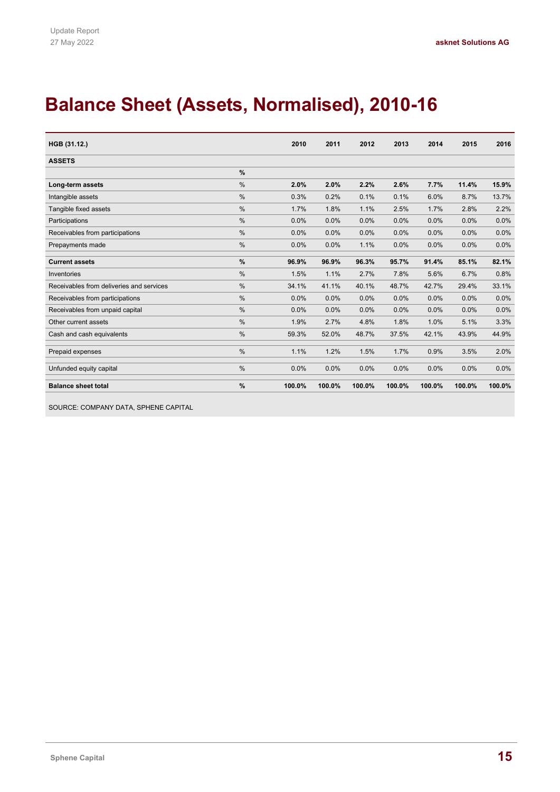# **Balance Sheet (Assets, Normalised), 2010-16**

| HGB (31.12.)                             |               | 2010   | 2011   | 2012   | 2013   | 2014   | 2015   | 2016   |
|------------------------------------------|---------------|--------|--------|--------|--------|--------|--------|--------|
| <b>ASSETS</b>                            |               |        |        |        |        |        |        |        |
|                                          | %             |        |        |        |        |        |        |        |
| Long-term assets                         | %             | 2.0%   | 2.0%   | 2.2%   | 2.6%   | 7.7%   | 11.4%  | 15.9%  |
| Intangible assets                        | %             | 0.3%   | 0.2%   | 0.1%   | 0.1%   | 6.0%   | 8.7%   | 13.7%  |
| Tangible fixed assets                    | %             | 1.7%   | 1.8%   | 1.1%   | 2.5%   | 1.7%   | 2.8%   | 2.2%   |
| Participations                           | $\frac{0}{0}$ | 0.0%   | 0.0%   | 0.0%   | 0.0%   | 0.0%   | 0.0%   | 0.0%   |
| Receivables from participations          | $\frac{0}{0}$ | 0.0%   | 0.0%   | 0.0%   | 0.0%   | 0.0%   | 0.0%   | 0.0%   |
| Prepayments made                         | %             | 0.0%   | 0.0%   | 1.1%   | 0.0%   | 0.0%   | 0.0%   | 0.0%   |
| <b>Current assets</b>                    | $\frac{9}{6}$ | 96.9%  | 96.9%  | 96.3%  | 95.7%  | 91.4%  | 85.1%  | 82.1%  |
| Inventories                              | %             | 1.5%   | 1.1%   | 2.7%   | 7.8%   | 5.6%   | 6.7%   | 0.8%   |
| Receivables from deliveries and services | %             | 34.1%  | 41.1%  | 40.1%  | 48.7%  | 42.7%  | 29.4%  | 33.1%  |
| Receivables from participations          | %             | 0.0%   | 0.0%   | 0.0%   | 0.0%   | 0.0%   | 0.0%   | 0.0%   |
| Receivables from unpaid capital          | %             | 0.0%   | 0.0%   | 0.0%   | 0.0%   | 0.0%   | 0.0%   | 0.0%   |
| Other current assets                     | %             | 1.9%   | 2.7%   | 4.8%   | 1.8%   | 1.0%   | 5.1%   | 3.3%   |
| Cash and cash equivalents                | %             | 59.3%  | 52.0%  | 48.7%  | 37.5%  | 42.1%  | 43.9%  | 44.9%  |
| Prepaid expenses                         | %             | 1.1%   | 1.2%   | 1.5%   | 1.7%   | 0.9%   | 3.5%   | 2.0%   |
| Unfunded equity capital                  | %             | 0.0%   | 0.0%   | 0.0%   | 0.0%   | 0.0%   | 0.0%   | 0.0%   |
| <b>Balance sheet total</b>               | %             | 100.0% | 100.0% | 100.0% | 100.0% | 100.0% | 100.0% | 100.0% |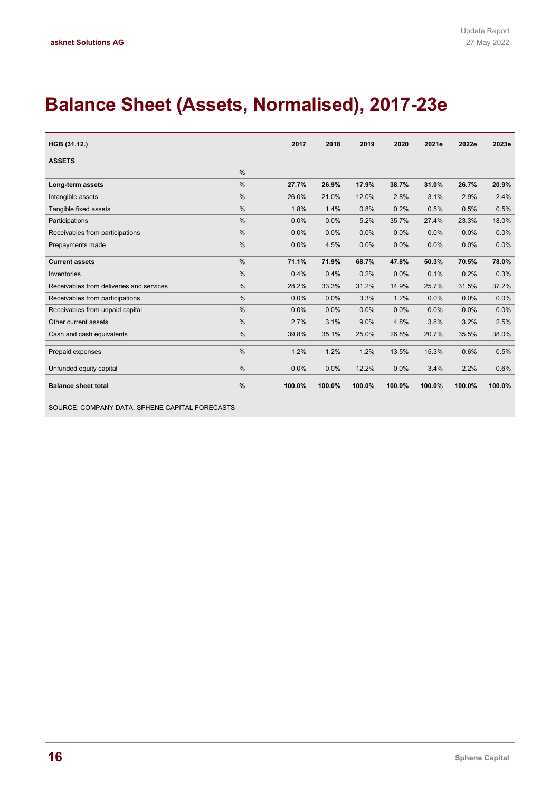# **Balance Sheet (Assets, Normalised), 2017-23e**

| HGB (31.12.)                             |               | 2017   | 2018   | 2019   | 2020   | 2021e  | 2022e  | 2023e  |
|------------------------------------------|---------------|--------|--------|--------|--------|--------|--------|--------|
| <b>ASSETS</b>                            |               |        |        |        |        |        |        |        |
|                                          | $\frac{9}{6}$ |        |        |        |        |        |        |        |
| Long-term assets                         | $\frac{0}{0}$ | 27.7%  | 26.9%  | 17.9%  | 38.7%  | 31.0%  | 26.7%  | 20.9%  |
| Intangible assets                        | $\frac{0}{0}$ | 26.0%  | 21.0%  | 12.0%  | 2.8%   | 3.1%   | 2.9%   | 2.4%   |
| Tangible fixed assets                    | $\frac{0}{0}$ | 1.8%   | 1.4%   | 0.8%   | 0.2%   | 0.5%   | 0.5%   | 0.5%   |
| Participations                           | $\frac{0}{0}$ | 0.0%   | 0.0%   | 5.2%   | 35.7%  | 27.4%  | 23.3%  | 18.0%  |
| Receivables from participations          | $\frac{0}{0}$ | 0.0%   | 0.0%   | 0.0%   | 0.0%   | 0.0%   | 0.0%   | 0.0%   |
| Prepayments made                         | $\frac{0}{0}$ | 0.0%   | 4.5%   | 0.0%   | 0.0%   | 0.0%   | 0.0%   | 0.0%   |
| <b>Current assets</b>                    | $\frac{9}{6}$ | 71.1%  | 71.9%  | 68.7%  | 47.8%  | 50.3%  | 70.5%  | 78.0%  |
| Inventories                              | $\frac{0}{0}$ | 0.4%   | 0.4%   | 0.2%   | 0.0%   | 0.1%   | 0.2%   | 0.3%   |
| Receivables from deliveries and services | $\frac{0}{0}$ | 28.2%  | 33.3%  | 31.2%  | 14.9%  | 25.7%  | 31.5%  | 37.2%  |
| Receivables from participations          | $\frac{0}{0}$ | 0.0%   | 0.0%   | 3.3%   | 1.2%   | 0.0%   | 0.0%   | 0.0%   |
| Receivables from unpaid capital          | $\frac{0}{0}$ | 0.0%   | 0.0%   | 0.0%   | 0.0%   | 0.0%   | 0.0%   | 0.0%   |
| Other current assets                     | $\frac{0}{0}$ | 2.7%   | 3.1%   | 9.0%   | 4.8%   | 3.8%   | 3.2%   | 2.5%   |
| Cash and cash equivalents                | $\frac{0}{0}$ | 39.8%  | 35.1%  | 25.0%  | 26.8%  | 20.7%  | 35.5%  | 38.0%  |
| Prepaid expenses                         | $\frac{0}{0}$ | 1.2%   | 1.2%   | 1.2%   | 13.5%  | 15.3%  | 0.6%   | 0.5%   |
| Unfunded equity capital                  | $\frac{0}{0}$ | 0.0%   | 0.0%   | 12.2%  | 0.0%   | 3.4%   | 2.2%   | 0.6%   |
| <b>Balance sheet total</b>               | $\frac{9}{6}$ | 100.0% | 100.0% | 100.0% | 100.0% | 100.0% | 100.0% | 100.0% |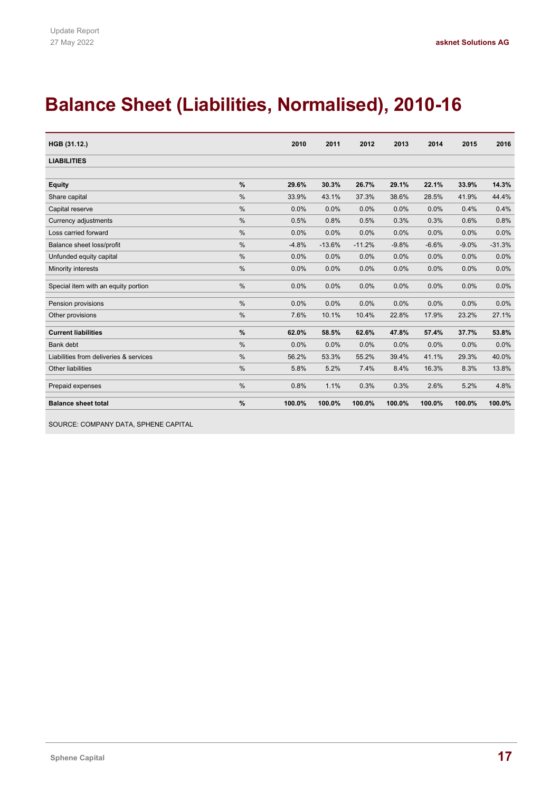# **Balance Sheet (Liabilities, Normalised), 2010-16**

| HGB (31.12.)                           |               | 2010    | 2011     | 2012     | 2013    | 2014    | 2015    | 2016     |
|----------------------------------------|---------------|---------|----------|----------|---------|---------|---------|----------|
| <b>LIABILITIES</b>                     |               |         |          |          |         |         |         |          |
|                                        |               |         |          |          |         |         |         |          |
| <b>Equity</b>                          | $\frac{0}{0}$ | 29.6%   | 30.3%    | 26.7%    | 29.1%   | 22.1%   | 33.9%   | 14.3%    |
| Share capital                          | $\frac{0}{0}$ | 33.9%   | 43.1%    | 37.3%    | 38.6%   | 28.5%   | 41.9%   | 44.4%    |
| Capital reserve                        | %             | 0.0%    | 0.0%     | 0.0%     | 0.0%    | 0.0%    | 0.4%    | 0.4%     |
| Currency adjustments                   | %             | 0.5%    | 0.8%     | 0.5%     | 0.3%    | 0.3%    | 0.6%    | 0.8%     |
| Loss carried forward                   | $\frac{0}{0}$ | 0.0%    | 0.0%     | 0.0%     | 0.0%    | 0.0%    | 0.0%    | 0.0%     |
| Balance sheet loss/profit              | $\frac{0}{0}$ | $-4.8%$ | $-13.6%$ | $-11.2%$ | $-9.8%$ | $-6.6%$ | $-9.0%$ | $-31.3%$ |
| Unfunded equity capital                | %             | 0.0%    | 0.0%     | 0.0%     | 0.0%    | 0.0%    | 0.0%    | 0.0%     |
| Minority interests                     | %             | 0.0%    | 0.0%     | 0.0%     | 0.0%    | 0.0%    | 0.0%    | 0.0%     |
| Special item with an equity portion    | $\frac{0}{0}$ | 0.0%    | 0.0%     | 0.0%     | 0.0%    | 0.0%    | 0.0%    | 0.0%     |
| Pension provisions                     | %             | 0.0%    | 0.0%     | 0.0%     | 0.0%    | 0.0%    | 0.0%    | 0.0%     |
| Other provisions                       | %             | 7.6%    | 10.1%    | 10.4%    | 22.8%   | 17.9%   | 23.2%   | 27.1%    |
| <b>Current liabilities</b>             | %             | 62.0%   | 58.5%    | 62.6%    | 47.8%   | 57.4%   | 37.7%   | 53.8%    |
| Bank debt                              | %             | 0.0%    | 0.0%     | 0.0%     | 0.0%    | 0.0%    | 0.0%    | 0.0%     |
| Liabilities from deliveries & services | %             | 56.2%   | 53.3%    | 55.2%    | 39.4%   | 41.1%   | 29.3%   | 40.0%    |
| <b>Other liabilities</b>               | $\frac{0}{0}$ | 5.8%    | 5.2%     | 7.4%     | 8.4%    | 16.3%   | 8.3%    | 13.8%    |
| Prepaid expenses                       | $\%$          | 0.8%    | 1.1%     | 0.3%     | 0.3%    | 2.6%    | 5.2%    | 4.8%     |
| <b>Balance sheet total</b>             | $\frac{9}{6}$ | 100.0%  | 100.0%   | 100.0%   | 100.0%  | 100.0%  | 100.0%  | 100.0%   |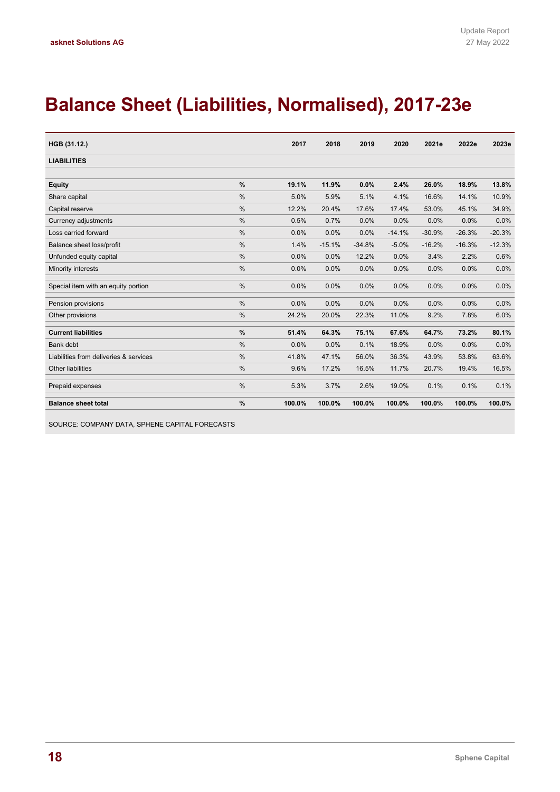# **Balance Sheet (Liabilities, Normalised), 2017-23e**

| HGB (31.12.)                           |               | 2017   | 2018     | 2019     | 2020     | 2021e    | 2022e    | 2023e    |
|----------------------------------------|---------------|--------|----------|----------|----------|----------|----------|----------|
| <b>LIABILITIES</b>                     |               |        |          |          |          |          |          |          |
|                                        |               |        |          |          |          |          |          |          |
| <b>Equity</b>                          | $\frac{9}{6}$ | 19.1%  | 11.9%    | 0.0%     | 2.4%     | 26.0%    | 18.9%    | 13.8%    |
| Share capital                          | $\frac{0}{0}$ | 5.0%   | 5.9%     | 5.1%     | 4.1%     | 16.6%    | 14.1%    | 10.9%    |
| Capital reserve                        | $\frac{0}{0}$ | 12.2%  | 20.4%    | 17.6%    | 17.4%    | 53.0%    | 45.1%    | 34.9%    |
| Currency adjustments                   | $\frac{0}{0}$ | 0.5%   | 0.7%     | 0.0%     | 0.0%     | 0.0%     | 0.0%     | 0.0%     |
| Loss carried forward                   | $\frac{0}{0}$ | 0.0%   | 0.0%     | 0.0%     | $-14.1%$ | $-30.9%$ | $-26.3%$ | $-20.3%$ |
| Balance sheet loss/profit              | $\frac{0}{0}$ | 1.4%   | $-15.1%$ | $-34.8%$ | $-5.0%$  | $-16.2%$ | $-16.3%$ | $-12.3%$ |
| Unfunded equity capital                | $\frac{0}{0}$ | 0.0%   | 0.0%     | 12.2%    | 0.0%     | 3.4%     | 2.2%     | 0.6%     |
| Minority interests                     | $\frac{0}{0}$ | 0.0%   | 0.0%     | 0.0%     | 0.0%     | 0.0%     | 0.0%     | 0.0%     |
| Special item with an equity portion    | $\frac{0}{0}$ | 0.0%   | 0.0%     | 0.0%     | 0.0%     | 0.0%     | 0.0%     | 0.0%     |
| Pension provisions                     | $\frac{0}{0}$ | 0.0%   | 0.0%     | 0.0%     | 0.0%     | 0.0%     | 0.0%     | 0.0%     |
| Other provisions                       | $\frac{0}{0}$ | 24.2%  | 20.0%    | 22.3%    | 11.0%    | 9.2%     | 7.8%     | 6.0%     |
| <b>Current liabilities</b>             | $\frac{9}{6}$ | 51.4%  | 64.3%    | 75.1%    | 67.6%    | 64.7%    | 73.2%    | 80.1%    |
| <b>Bank debt</b>                       | $\frac{0}{0}$ | 0.0%   | 0.0%     | 0.1%     | 18.9%    | 0.0%     | 0.0%     | 0.0%     |
| Liabilities from deliveries & services | $\frac{0}{0}$ | 41.8%  | 47.1%    | 56.0%    | 36.3%    | 43.9%    | 53.8%    | 63.6%    |
| <b>Other liabilities</b>               | $\frac{0}{0}$ | 9.6%   | 17.2%    | 16.5%    | 11.7%    | 20.7%    | 19.4%    | 16.5%    |
| Prepaid expenses                       | $\frac{0}{0}$ | 5.3%   | 3.7%     | 2.6%     | 19.0%    | 0.1%     | 0.1%     | 0.1%     |
| <b>Balance sheet total</b>             | %             | 100.0% | 100.0%   | 100.0%   | 100.0%   | 100.0%   | 100.0%   | 100.0%   |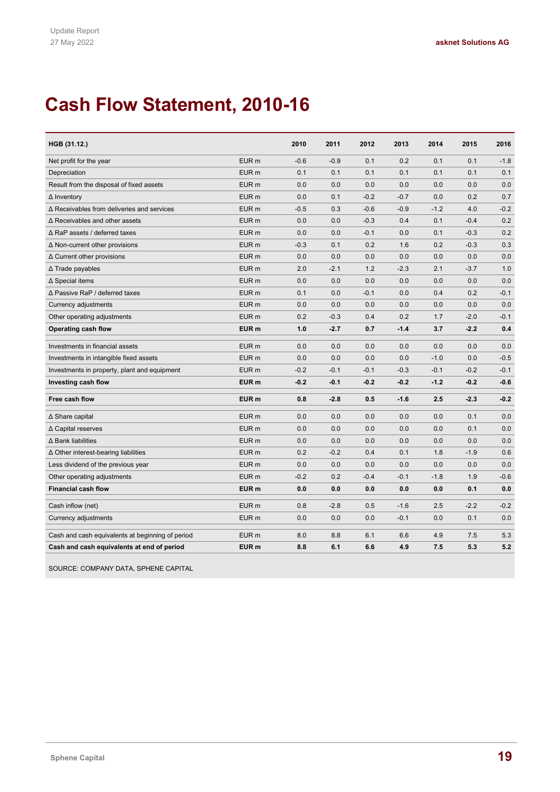# **Cash Flow Statement, 2010-16**

| HGB (31.12.)                                      |                  | 2010   | 2011   | 2012   | 2013   | 2014   | 2015   | 2016   |
|---------------------------------------------------|------------------|--------|--------|--------|--------|--------|--------|--------|
| Net profit for the year                           | EUR <sub>m</sub> | $-0.6$ | $-0.9$ | 0.1    | 0.2    | 0.1    | 0.1    | $-1.8$ |
| Depreciation                                      | EUR <sub>m</sub> | 0.1    | 0.1    | 0.1    | 0.1    | 0.1    | 0.1    | 0.1    |
| Result from the disposal of fixed assets          | EUR <sub>m</sub> | 0.0    | 0.0    | 0.0    | 0.0    | 0.0    | 0.0    | 0.0    |
| $\Delta$ Inventory                                | EUR <sub>m</sub> | 0.0    | 0.1    | $-0.2$ | $-0.7$ | 0.0    | 0.2    | 0.7    |
| $\Delta$ Receivables from deliveries and services | EUR <sub>m</sub> | $-0.5$ | 0.3    | $-0.6$ | $-0.9$ | $-1.2$ | 4.0    | $-0.2$ |
| $\Delta$ Receivables and other assets             | EUR <sub>m</sub> | 0.0    | 0.0    | $-0.3$ | 0.4    | 0.1    | $-0.4$ | 0.2    |
| $\Delta$ RaP assets / deferred taxes              | EUR <sub>m</sub> | 0.0    | 0.0    | $-0.1$ | 0.0    | 0.1    | $-0.3$ | 0.2    |
| $\Delta$ Non-current other provisions             | EUR <sub>m</sub> | $-0.3$ | 0.1    | 0.2    | 1.6    | 0.2    | $-0.3$ | 0.3    |
| $\Delta$ Current other provisions                 | EUR <sub>m</sub> | 0.0    | 0.0    | 0.0    | 0.0    | 0.0    | 0.0    | 0.0    |
| $\Delta$ Trade payables                           | EUR <sub>m</sub> | 2.0    | $-2.1$ | 1.2    | $-2.3$ | 2.1    | $-3.7$ | 1.0    |
| ∆ Special items                                   | EUR <sub>m</sub> | 0.0    | 0.0    | 0.0    | 0.0    | 0.0    | 0.0    | 0.0    |
| ∆ Passive RaP / deferred taxes                    | EUR <sub>m</sub> | 0.1    | 0.0    | $-0.1$ | 0.0    | 0.4    | 0.2    | $-0.1$ |
| Currency adjustments                              | EUR <sub>m</sub> | 0.0    | 0.0    | 0.0    | 0.0    | 0.0    | 0.0    | 0.0    |
| Other operating adjustments                       | EUR <sub>m</sub> | 0.2    | $-0.3$ | 0.4    | 0.2    | 1.7    | $-2.0$ | $-0.1$ |
| Operating cash flow                               | EUR <sub>m</sub> | 1.0    | $-2.7$ | 0.7    | $-1.4$ | 3.7    | $-2.2$ | 0.4    |
| Investments in financial assets                   | EUR <sub>m</sub> | 0.0    | 0.0    | 0.0    | 0.0    | 0.0    | 0.0    | 0.0    |
| Investments in intangible fixed assets            | EUR <sub>m</sub> | 0.0    | 0.0    | 0.0    | 0.0    | $-1.0$ | 0.0    | $-0.5$ |
| Investments in property, plant and equipment      | EUR <sub>m</sub> | $-0.2$ | $-0.1$ | $-0.1$ | $-0.3$ | $-0.1$ | $-0.2$ | $-0.1$ |
| Investing cash flow                               | EUR <sub>m</sub> | $-0.2$ | $-0.1$ | $-0.2$ | $-0.2$ | $-1.2$ | $-0.2$ | $-0.6$ |
| Free cash flow                                    | EUR <sub>m</sub> | 0.8    | $-2.8$ | 0.5    | $-1.6$ | 2.5    | $-2.3$ | $-0.2$ |
| ∆ Share capital                                   | EUR <sub>m</sub> | 0.0    | 0.0    | 0.0    | 0.0    | 0.0    | 0.1    | 0.0    |
| ∆ Capital reserves                                | EUR <sub>m</sub> | 0.0    | 0.0    | 0.0    | 0.0    | 0.0    | 0.1    | 0.0    |
| $\Delta$ Bank liabilities                         | EUR <sub>m</sub> | 0.0    | 0.0    | 0.0    | 0.0    | 0.0    | 0.0    | 0.0    |
| $\Delta$ Other interest-bearing liabilities       | EUR <sub>m</sub> | 0.2    | $-0.2$ | 0.4    | 0.1    | 1.8    | $-1.9$ | 0.6    |
| Less dividend of the previous year                | EUR <sub>m</sub> | 0.0    | 0.0    | 0.0    | 0.0    | 0.0    | 0.0    | 0.0    |
| Other operating adjustments                       | EUR <sub>m</sub> | $-0.2$ | 0.2    | $-0.4$ | $-0.1$ | $-1.8$ | 1.9    | $-0.6$ |
| <b>Financial cash flow</b>                        | EUR <sub>m</sub> | 0.0    | 0.0    | 0.0    | 0.0    | 0.0    | 0.1    | 0.0    |
| Cash inflow (net)                                 | EUR <sub>m</sub> | 0.8    | $-2.8$ | 0.5    | $-1.6$ | 2.5    | $-2.2$ | $-0.2$ |
| Currency adjustments                              | EUR <sub>m</sub> | 0.0    | 0.0    | 0.0    | $-0.1$ | 0.0    | 0.1    | 0.0    |
| Cash and cash equivalents at beginning of period  | EUR <sub>m</sub> | 8.0    | 8.8    | 6.1    | 6.6    | 4.9    | 7.5    | 5.3    |
| Cash and cash equivalents at end of period        | EUR <sub>m</sub> | 8.8    | 6.1    | 6.6    | 4.9    | 7.5    | 5.3    | 5.2    |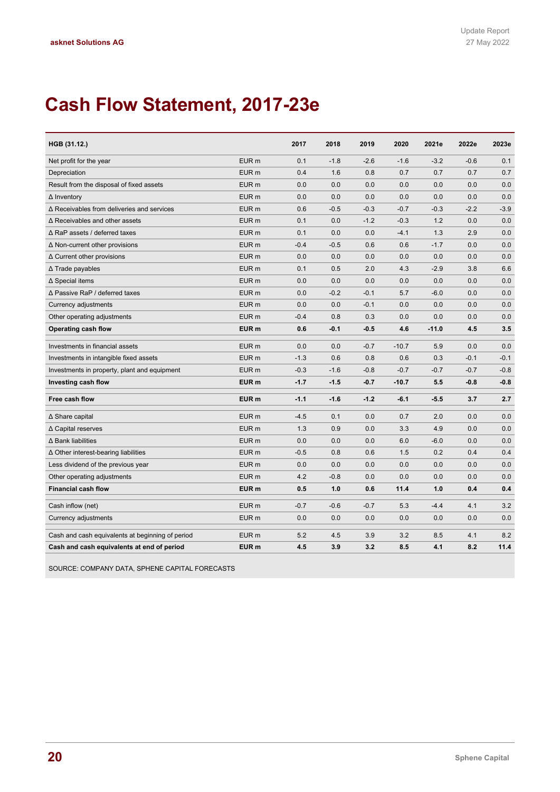# **Cash Flow Statement, 2017-23e**

| HGB (31.12.)                                      |                  | 2017   | 2018   | 2019   | 2020    | 2021e   | 2022e  | 2023e  |
|---------------------------------------------------|------------------|--------|--------|--------|---------|---------|--------|--------|
| Net profit for the year                           | EUR <sub>m</sub> | 0.1    | $-1.8$ | $-2.6$ | $-1.6$  | $-3.2$  | $-0.6$ | 0.1    |
| Depreciation                                      | EUR <sub>m</sub> | 0.4    | 1.6    | 0.8    | 0.7     | 0.7     | 0.7    | 0.7    |
| Result from the disposal of fixed assets          | EUR <sub>m</sub> | 0.0    | 0.0    | 0.0    | 0.0     | 0.0     | 0.0    | 0.0    |
| $\Delta$ Inventory                                | EUR <sub>m</sub> | 0.0    | 0.0    | 0.0    | 0.0     | 0.0     | 0.0    | 0.0    |
| $\Delta$ Receivables from deliveries and services | EUR <sub>m</sub> | 0.6    | $-0.5$ | $-0.3$ | $-0.7$  | $-0.3$  | $-2.2$ | $-3.9$ |
| $\Delta$ Receivables and other assets             | EUR <sub>m</sub> | 0.1    | 0.0    | $-1.2$ | $-0.3$  | 1.2     | 0.0    | 0.0    |
| $\Delta$ RaP assets / deferred taxes              | EUR <sub>m</sub> | 0.1    | 0.0    | 0.0    | $-4.1$  | 1.3     | 2.9    | 0.0    |
| $\Delta$ Non-current other provisions             | EUR <sub>m</sub> | $-0.4$ | $-0.5$ | 0.6    | 0.6     | $-1.7$  | 0.0    | 0.0    |
| $\Delta$ Current other provisions                 | EUR <sub>m</sub> | 0.0    | 0.0    | 0.0    | 0.0     | 0.0     | 0.0    | 0.0    |
| ∆ Trade payables                                  | EUR <sub>m</sub> | 0.1    | 0.5    | 2.0    | 4.3     | $-2.9$  | 3.8    | 6.6    |
| ∆ Special items                                   | EUR <sub>m</sub> | 0.0    | 0.0    | 0.0    | 0.0     | 0.0     | 0.0    | 0.0    |
| ∆ Passive RaP / deferred taxes                    | EUR <sub>m</sub> | 0.0    | $-0.2$ | $-0.1$ | 5.7     | $-6.0$  | 0.0    | 0.0    |
| Currency adjustments                              | EUR <sub>m</sub> | 0.0    | 0.0    | $-0.1$ | 0.0     | 0.0     | 0.0    | 0.0    |
| Other operating adjustments                       | EUR <sub>m</sub> | $-0.4$ | 0.8    | 0.3    | 0.0     | 0.0     | 0.0    | 0.0    |
| Operating cash flow                               | EUR <sub>m</sub> | 0.6    | $-0.1$ | $-0.5$ | 4.6     | $-11.0$ | 4.5    | 3.5    |
| Investments in financial assets                   | EUR <sub>m</sub> | 0.0    | 0.0    | $-0.7$ | $-10.7$ | 5.9     | 0.0    | 0.0    |
| Investments in intangible fixed assets            | EUR <sub>m</sub> | $-1.3$ | 0.6    | 0.8    | 0.6     | 0.3     | $-0.1$ | $-0.1$ |
| Investments in property, plant and equipment      | EUR <sub>m</sub> | $-0.3$ | $-1.6$ | $-0.8$ | $-0.7$  | $-0.7$  | $-0.7$ | $-0.8$ |
| Investing cash flow                               | EUR <sub>m</sub> | $-1.7$ | $-1.5$ | $-0.7$ | $-10.7$ | 5.5     | $-0.8$ | $-0.8$ |
| Free cash flow                                    | EUR <sub>m</sub> | $-1.1$ | $-1.6$ | $-1.2$ | $-6.1$  | $-5.5$  | 3.7    | 2.7    |
| ∆ Share capital                                   | EUR <sub>m</sub> | $-4.5$ | 0.1    | 0.0    | 0.7     | 2.0     | 0.0    | 0.0    |
| ∆ Capital reserves                                | EUR <sub>m</sub> | 1.3    | 0.9    | 0.0    | 3.3     | 4.9     | 0.0    | 0.0    |
| ∆ Bank liabilities                                | EUR <sub>m</sub> | 0.0    | 0.0    | 0.0    | 6.0     | $-6.0$  | 0.0    | 0.0    |
| $\Delta$ Other interest-bearing liabilities       | EUR <sub>m</sub> | $-0.5$ | 0.8    | 0.6    | 1.5     | 0.2     | 0.4    | 0.4    |
| Less dividend of the previous year                | EUR <sub>m</sub> | 0.0    | 0.0    | 0.0    | 0.0     | 0.0     | 0.0    | 0.0    |
| Other operating adjustments                       | EUR <sub>m</sub> | 4.2    | $-0.8$ | 0.0    | 0.0     | 0.0     | 0.0    | 0.0    |
| <b>Financial cash flow</b>                        | EUR <sub>m</sub> | 0.5    | 1.0    | 0.6    | 11.4    | 1.0     | 0.4    | 0.4    |
| Cash inflow (net)                                 | EUR <sub>m</sub> | $-0.7$ | $-0.6$ | $-0.7$ | 5.3     | $-4.4$  | 4.1    | 3.2    |
| Currency adjustments                              | EUR <sub>m</sub> | 0.0    | 0.0    | 0.0    | 0.0     | 0.0     | 0.0    | 0.0    |
| Cash and cash equivalents at beginning of period  | EUR <sub>m</sub> | 5.2    | 4.5    | 3.9    | 3.2     | 8.5     | 4.1    | 8.2    |
| Cash and cash equivalents at end of period        | EUR <sub>m</sub> | 4.5    | 3.9    | 3.2    | 8.5     | 4.1     | 8.2    | 11.4   |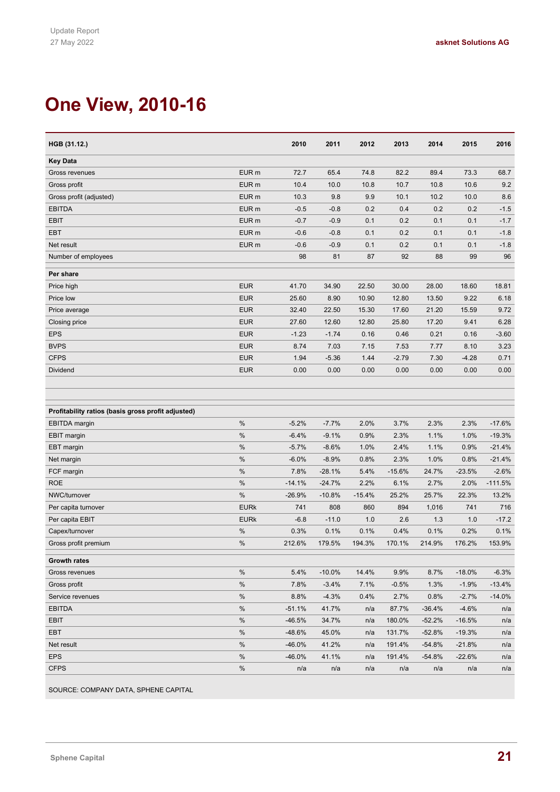# **One View, 2010-16**

| HGB (31.12.)                                       |                  | 2010     | 2011     | 2012     | 2013     | 2014     | 2015     | 2016      |
|----------------------------------------------------|------------------|----------|----------|----------|----------|----------|----------|-----------|
| <b>Key Data</b>                                    |                  |          |          |          |          |          |          |           |
| Gross revenues                                     | EUR <sub>m</sub> | 72.7     | 65.4     | 74.8     | 82.2     | 89.4     | 73.3     | 68.7      |
| Gross profit                                       | EUR <sub>m</sub> | 10.4     | 10.0     | 10.8     | 10.7     | 10.8     | 10.6     | 9.2       |
| Gross profit (adjusted)                            | EUR <sub>m</sub> | 10.3     | 9.8      | 9.9      | 10.1     | 10.2     | 10.0     | 8.6       |
| <b>EBITDA</b>                                      | EUR <sub>m</sub> | $-0.5$   | $-0.8$   | 0.2      | 0.4      | 0.2      | 0.2      | $-1.5$    |
| <b>EBIT</b>                                        | EUR <sub>m</sub> | $-0.7$   | $-0.9$   | 0.1      | 0.2      | 0.1      | 0.1      | $-1.7$    |
| <b>EBT</b>                                         | EUR <sub>m</sub> | $-0.6$   | $-0.8$   | 0.1      | 0.2      | 0.1      | 0.1      | $-1.8$    |
| Net result                                         | EUR <sub>m</sub> | $-0.6$   | $-0.9$   | 0.1      | 0.2      | 0.1      | 0.1      | $-1.8$    |
| Number of employees                                |                  | 98       | 81       | 87       | 92       | 88       | 99       | 96        |
| Per share                                          |                  |          |          |          |          |          |          |           |
| Price high                                         | <b>EUR</b>       | 41.70    | 34.90    | 22.50    | 30.00    | 28.00    | 18.60    | 18.81     |
| Price low                                          | <b>EUR</b>       | 25.60    | 8.90     | 10.90    | 12.80    | 13.50    | 9.22     | 6.18      |
| Price average                                      | <b>EUR</b>       | 32.40    | 22.50    | 15.30    | 17.60    | 21.20    | 15.59    | 9.72      |
| Closing price                                      | <b>EUR</b>       | 27.60    | 12.60    | 12.80    | 25.80    | 17.20    | 9.41     | 6.28      |
| <b>EPS</b>                                         | <b>EUR</b>       | $-1.23$  | $-1.74$  | 0.16     | 0.46     | 0.21     | 0.16     | $-3.60$   |
| <b>BVPS</b>                                        | <b>EUR</b>       | 8.74     | 7.03     | 7.15     | 7.53     | 7.77     | 8.10     | 3.23      |
| <b>CFPS</b>                                        | <b>EUR</b>       | 1.94     | $-5.36$  | 1.44     | $-2.79$  | 7.30     | $-4.28$  | 0.71      |
| Dividend                                           | <b>EUR</b>       | 0.00     | 0.00     | 0.00     | 0.00     | 0.00     | 0.00     | 0.00      |
|                                                    |                  |          |          |          |          |          |          |           |
|                                                    |                  |          |          |          |          |          |          |           |
| Profitability ratios (basis gross profit adjusted) |                  |          |          |          |          |          |          |           |
| <b>EBITDA</b> margin                               | $\%$             | $-5.2%$  | $-7.7%$  | 2.0%     | 3.7%     | 2.3%     | 2.3%     | $-17.6%$  |
| <b>EBIT</b> margin                                 | %                | $-6.4%$  | $-9.1%$  | 0.9%     | 2.3%     | 1.1%     | 1.0%     | $-19.3%$  |
| <b>EBT</b> margin                                  | $\%$             | $-5.7%$  | $-8.6%$  | 1.0%     | 2.4%     | 1.1%     | 0.9%     | $-21.4%$  |
| Net margin                                         | $\%$             | $-6.0%$  | $-8.9%$  | 0.8%     | 2.3%     | 1.0%     | 0.8%     | $-21.4%$  |
| FCF margin                                         | $\%$             | 7.8%     | $-28.1%$ | 5.4%     | $-15.6%$ | 24.7%    | $-23.5%$ | $-2.6%$   |
| <b>ROE</b>                                         | %                | $-14.1%$ | $-24.7%$ | 2.2%     | 6.1%     | 2.7%     | 2.0%     | $-111.5%$ |
| NWC/turnover                                       | $\%$             | $-26.9%$ | $-10.8%$ | $-15.4%$ | 25.2%    | 25.7%    | 22.3%    | 13.2%     |
| Per capita turnover                                | <b>EURk</b>      | 741      | 808      | 860      | 894      | 1,016    | 741      | 716       |
| Per capita EBIT                                    | <b>EURk</b>      | $-6.8$   | $-11.0$  | 1.0      | 2.6      | 1.3      | 1.0      | $-17.2$   |
| Capex/turnover                                     | $\%$             | 0.3%     | 0.1%     | 0.1%     | 0.4%     | 0.1%     | 0.2%     | 0.1%      |
| Gross profit premium                               | $\%$             | 212.6%   | 179.5%   | 194.3%   | 170.1%   | 214.9%   | 176.2%   | 153.9%    |
| <b>Growth rates</b>                                |                  |          |          |          |          |          |          |           |
| Gross revenues                                     | %                | 5.4%     | $-10.0%$ | 14.4%    | 9.9%     | 8.7%     | $-18.0%$ | $-6.3%$   |
| Gross profit                                       | %                | 7.8%     | $-3.4%$  | 7.1%     | $-0.5%$  | 1.3%     | $-1.9%$  | $-13.4%$  |
| Service revenues                                   | $\%$             | 8.8%     | $-4.3%$  | 0.4%     | 2.7%     | 0.8%     | $-2.7%$  | $-14.0%$  |
| <b>EBITDA</b>                                      | $\%$             | $-51.1%$ | 41.7%    | n/a      | 87.7%    | $-36.4%$ | $-4.6%$  | n/a       |
| EBIT                                               | $\%$             | $-46.5%$ | 34.7%    | n/a      | 180.0%   | $-52.2%$ | $-16.5%$ | n/a       |
| EBT                                                | $\%$             | $-48.6%$ | 45.0%    | n/a      | 131.7%   | -52.8%   | $-19.3%$ | n/a       |
| Net result                                         | $\%$             | $-46.0%$ | 41.2%    | n/a      | 191.4%   | $-54.8%$ | $-21.8%$ | n/a       |
| <b>EPS</b>                                         | %                | $-46.0%$ | 41.1%    | n/a      | 191.4%   | $-54.8%$ | $-22.6%$ | n/a       |
| <b>CFPS</b>                                        | $\%$             | n/a      | n/a      | n/a      | n/a      | n/a      | n/a      | n/a       |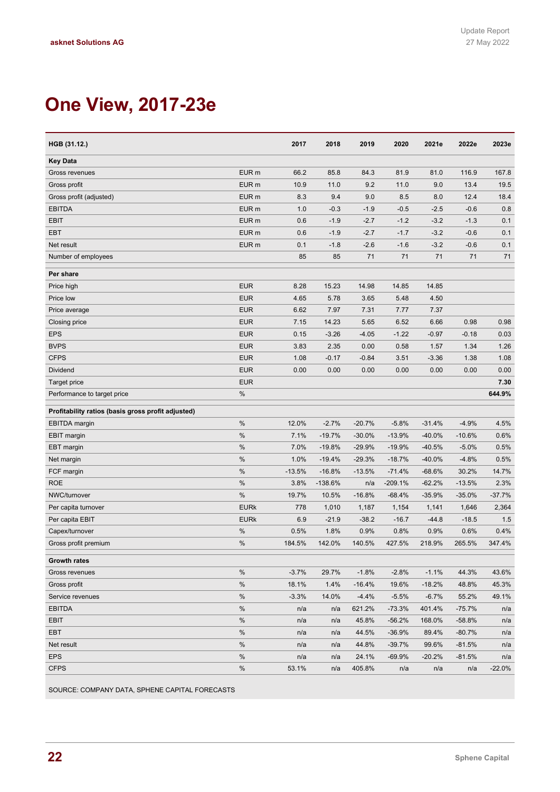# **One View, 2017-23e**

| HGB (31.12.)                                       |                  | 2017     | 2018      | 2019     | 2020      | 2021e    | 2022e    | 2023e    |
|----------------------------------------------------|------------------|----------|-----------|----------|-----------|----------|----------|----------|
| Key Data                                           |                  |          |           |          |           |          |          |          |
| Gross revenues                                     | EUR <sub>m</sub> | 66.2     | 85.8      | 84.3     | 81.9      | 81.0     | 116.9    | 167.8    |
| Gross profit                                       | EUR <sub>m</sub> | 10.9     | 11.0      | 9.2      | 11.0      | 9.0      | 13.4     | 19.5     |
| Gross profit (adjusted)                            | EUR <sub>m</sub> | 8.3      | 9.4       | 9.0      | 8.5       | 8.0      | 12.4     | 18.4     |
| <b>EBITDA</b>                                      | EUR <sub>m</sub> | 1.0      | $-0.3$    | $-1.9$   | $-0.5$    | $-2.5$   | $-0.6$   | 0.8      |
| <b>EBIT</b>                                        | EUR <sub>m</sub> | 0.6      | $-1.9$    | $-2.7$   | $-1.2$    | $-3.2$   | $-1.3$   | 0.1      |
| <b>EBT</b>                                         | EUR <sub>m</sub> | 0.6      | $-1.9$    | $-2.7$   | $-1.7$    | $-3.2$   | $-0.6$   | 0.1      |
| Net result                                         | EUR <sub>m</sub> | 0.1      | $-1.8$    | $-2.6$   | $-1.6$    | $-3.2$   | $-0.6$   | 0.1      |
| Number of employees                                |                  | 85       | 85        | 71       | 71        | 71       | 71       | 71       |
| Per share                                          |                  |          |           |          |           |          |          |          |
| Price high                                         | <b>EUR</b>       | 8.28     | 15.23     | 14.98    | 14.85     | 14.85    |          |          |
| Price low                                          | <b>EUR</b>       | 4.65     | 5.78      | 3.65     | 5.48      | 4.50     |          |          |
| Price average                                      | <b>EUR</b>       | 6.62     | 7.97      | 7.31     | 7.77      | 7.37     |          |          |
| Closing price                                      | <b>EUR</b>       | 7.15     | 14.23     | 5.65     | 6.52      | 6.66     | 0.98     | 0.98     |
| <b>EPS</b>                                         | <b>EUR</b>       | 0.15     | $-3.26$   | $-4.05$  | $-1.22$   | $-0.97$  | $-0.18$  | 0.03     |
| <b>BVPS</b>                                        | <b>EUR</b>       | 3.83     | 2.35      | 0.00     | 0.58      | 1.57     | 1.34     | 1.26     |
| <b>CFPS</b>                                        | <b>EUR</b>       | 1.08     | $-0.17$   | $-0.84$  | 3.51      | $-3.36$  | 1.38     | 1.08     |
| Dividend                                           | <b>EUR</b>       | 0.00     | 0.00      | 0.00     | 0.00      | 0.00     | 0.00     | 0.00     |
| <b>Target price</b>                                | <b>EUR</b>       |          |           |          |           |          |          | 7.30     |
| Performance to target price                        | %                |          |           |          |           |          |          | 644.9%   |
| Profitability ratios (basis gross profit adjusted) |                  |          |           |          |           |          |          |          |
| <b>EBITDA</b> margin                               | %                | 12.0%    | $-2.7%$   | $-20.7%$ | $-5.8%$   | $-31.4%$ | $-4.9%$  | 4.5%     |
| <b>EBIT margin</b>                                 | $\%$             | 7.1%     | $-19.7%$  | $-30.0%$ | $-13.9%$  | $-40.0%$ | $-10.6%$ | 0.6%     |
| EBT margin                                         | %                | 7.0%     | $-19.8%$  | $-29.9%$ | $-19.9%$  | $-40.5%$ | $-5.0%$  | 0.5%     |
| Net margin                                         | $\%$             | 1.0%     | $-19.4%$  | $-29.3%$ | $-18.7%$  | $-40.0%$ | $-4.8%$  | 0.5%     |
| FCF margin                                         | %                | $-13.5%$ | $-16.8%$  | $-13.5%$ | $-71.4%$  | $-68.6%$ | 30.2%    | 14.7%    |
| ROE                                                | $\%$             | 3.8%     | $-138.6%$ | n/a      | $-209.1%$ | $-62.2%$ | $-13.5%$ | 2.3%     |
| NWC/turnover                                       | $\%$             | 19.7%    | 10.5%     | $-16.8%$ | $-68.4%$  | $-35.9%$ | $-35.0%$ | $-37.7%$ |
| Per capita turnover                                | <b>EURk</b>      | 778      | 1,010     | 1,187    | 1,154     | 1,141    | 1,646    | 2,364    |
| Per capita EBIT                                    | <b>EURk</b>      | 6.9      | $-21.9$   | $-38.2$  | $-16.7$   | $-44.8$  | $-18.5$  | 1.5      |
| Capex/turnover                                     | $\%$             | 0.5%     | 1.8%      | 0.9%     | 0.8%      | 0.9%     | 0.6%     | 0.4%     |
| Gross profit premium                               | $\%$             | 184.5%   | 142.0%    | 140.5%   | 427.5%    | 218.9%   | 265.5%   | 347.4%   |
| <b>Growth rates</b>                                |                  |          |           |          |           |          |          |          |
| Gross revenues                                     | %                | $-3.7%$  | 29.7%     | $-1.8%$  | $-2.8%$   | $-1.1%$  | 44.3%    | 43.6%    |
| Gross profit                                       | $\%$             | 18.1%    | 1.4%      | $-16.4%$ | 19.6%     | $-18.2%$ | 48.8%    | 45.3%    |
| Service revenues                                   | $\%$             | $-3.3%$  | 14.0%     | $-4.4%$  | $-5.5%$   | $-6.7%$  | 55.2%    | 49.1%    |
| <b>EBITDA</b>                                      | %                | n/a      | n/a       | 621.2%   | $-73.3%$  | 401.4%   | $-75.7%$ | n/a      |
| EBIT                                               | %                | n/a      | n/a       | 45.8%    | $-56.2%$  | 168.0%   | $-58.8%$ | n/a      |
| <b>EBT</b>                                         | %                | n/a      | n/a       | 44.5%    | $-36.9%$  | 89.4%    | $-80.7%$ | n/a      |
| Net result                                         | %                | n/a      | n/a       | 44.8%    | $-39.7%$  | 99.6%    | $-81.5%$ | n/a      |
| <b>EPS</b>                                         | $\%$             | n/a      | n/a       | 24.1%    | $-69.9%$  | $-20.2%$ | -81.5%   | n/a      |
| <b>CFPS</b>                                        | $\%$             | 53.1%    | n/a       | 405.8%   | n/a       | n/a      | n/a      | $-22.0%$ |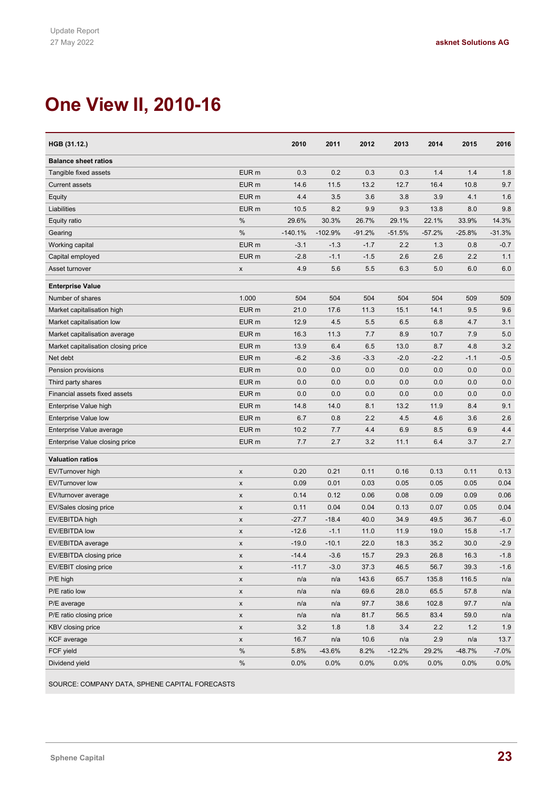# **One View II, 2010-16**

| HGB (31.12.)                        |                  | 2010      | 2011      | 2012     | 2013     | 2014     | 2015     | 2016     |
|-------------------------------------|------------------|-----------|-----------|----------|----------|----------|----------|----------|
| <b>Balance sheet ratios</b>         |                  |           |           |          |          |          |          |          |
| Tangible fixed assets               | EUR <sub>m</sub> | 0.3       | 0.2       | 0.3      | 0.3      | 1.4      | 1.4      | 1.8      |
| <b>Current assets</b>               | EUR <sub>m</sub> | 14.6      | 11.5      | 13.2     | 12.7     | 16.4     | 10.8     | 9.7      |
| Equity                              | EUR <sub>m</sub> | 4.4       | 3.5       | 3.6      | 3.8      | 3.9      | 4.1      | 1.6      |
| Liabilities                         | EUR <sub>m</sub> | 10.5      | 8.2       | 9.9      | 9.3      | 13.8     | 8.0      | 9.8      |
| Equity ratio                        | %                | 29.6%     | 30.3%     | 26.7%    | 29.1%    | 22.1%    | 33.9%    | 14.3%    |
| Gearing                             | %                | $-140.1%$ | $-102.9%$ | $-91.2%$ | $-51.5%$ | $-57.2%$ | $-25.8%$ | $-31.3%$ |
| Working capital                     | EUR <sub>m</sub> | $-3.1$    | $-1.3$    | $-1.7$   | 2.2      | 1.3      | 0.8      | $-0.7$   |
| Capital employed                    | EUR <sub>m</sub> | $-2.8$    | $-1.1$    | $-1.5$   | 2.6      | 2.6      | 2.2      | 1.1      |
| Asset turnover                      | x                | 4.9       | 5.6       | 5.5      | 6.3      | 5.0      | 6.0      | 6.0      |
| <b>Enterprise Value</b>             |                  |           |           |          |          |          |          |          |
| Number of shares                    | 1.000            | 504       | 504       | 504      | 504      | 504      | 509      | 509      |
| Market capitalisation high          | EUR <sub>m</sub> | 21.0      | 17.6      | 11.3     | 15.1     | 14.1     | 9.5      | 9.6      |
| Market capitalisation low           | EUR <sub>m</sub> | 12.9      | 4.5       | 5.5      | 6.5      | 6.8      | 4.7      | 3.1      |
| Market capitalisation average       | EUR <sub>m</sub> | 16.3      | 11.3      | 7.7      | 8.9      | 10.7     | 7.9      | 5.0      |
| Market capitalisation closing price | EUR <sub>m</sub> | 13.9      | 6.4       | 6.5      | 13.0     | 8.7      | 4.8      | 3.2      |
| Net debt                            | EUR <sub>m</sub> | $-6.2$    | $-3.6$    | $-3.3$   | $-2.0$   | $-2.2$   | $-1.1$   | $-0.5$   |
| Pension provisions                  | EUR <sub>m</sub> | 0.0       | 0.0       | 0.0      | 0.0      | 0.0      | 0.0      | 0.0      |
| Third party shares                  | EUR <sub>m</sub> | 0.0       | 0.0       | 0.0      | 0.0      | 0.0      | 0.0      | 0.0      |
| Financial assets fixed assets       | EUR <sub>m</sub> | 0.0       | 0.0       | 0.0      | 0.0      | 0.0      | 0.0      | 0.0      |
| Enterprise Value high               | EUR <sub>m</sub> | 14.8      | 14.0      | 8.1      | 13.2     | 11.9     | 8.4      | 9.1      |
| Enterprise Value low                | EUR <sub>m</sub> | 6.7       | 0.8       | 2.2      | 4.5      | 4.6      | 3.6      | 2.6      |
| Enterprise Value average            | EUR <sub>m</sub> | 10.2      | 7.7       | 4.4      | 6.9      | 8.5      | 6.9      | 4.4      |
| Enterprise Value closing price      | EUR <sub>m</sub> | 7.7       | 2.7       | 3.2      | 11.1     | 6.4      | 3.7      | 2.7      |
| <b>Valuation ratios</b>             |                  |           |           |          |          |          |          |          |
| EV/Turnover high                    | X                | 0.20      | 0.21      | 0.11     | 0.16     | 0.13     | 0.11     | 0.13     |
| EV/Turnover low                     | X                | 0.09      | 0.01      | 0.03     | 0.05     | 0.05     | 0.05     | 0.04     |
| EV/turnover average                 | X                | 0.14      | 0.12      | 0.06     | 0.08     | 0.09     | 0.09     | 0.06     |
| EV/Sales closing price              | X                | 0.11      | 0.04      | 0.04     | 0.13     | 0.07     | 0.05     | 0.04     |
| EV/EBITDA high                      | X                | $-27.7$   | $-18.4$   | 40.0     | 34.9     | 49.5     | 36.7     | $-6.0$   |
| <b>EV/EBITDA low</b>                | X                | $-12.6$   | $-1.1$    | 11.0     | 11.9     | 19.0     | 15.8     | $-1.7$   |
| EV/EBITDA average                   | X                | $-19.0$   | $-10.1$   | 22.0     | 18.3     | 35.2     | 30.0     | $-2.9$   |
| EV/EBITDA closing price             | x                | -14.4     | $-3.6$    | 15.7     | 29.3     | 26.8     | 16.3     | $-1.8$   |
| EV/EBIT closing price               | X                | $-11.7$   | $-3.0$    | 37.3     | 46.5     | 56.7     | 39.3     | $-1.6$   |
| P/E high                            | X                | n/a       | n/a       | 143.6    | 65.7     | 135.8    | 116.5    | n/a      |
| P/E ratio low                       | X                | n/a       | n/a       | 69.6     | 28.0     | 65.5     | 57.8     | n/a      |
| P/E average                         | X                | n/a       | n/a       | 97.7     | 38.6     | 102.8    | 97.7     | n/a      |
| P/E ratio closing price             | X                | n/a       | n/a       | 81.7     | 56.5     | 83.4     | 59.0     | n/a      |
| KBV closing price                   | X                | 3.2       | 1.8       | 1.8      | 3.4      | 2.2      | 1.2      | 1.9      |
| <b>KCF</b> average                  | X                | 16.7      | n/a       | 10.6     | n/a      | 2.9      | n/a      | 13.7     |
| FCF yield                           | %                | 5.8%      | $-43.6%$  | 8.2%     | $-12.2%$ | 29.2%    | $-48.7%$ | $-7.0%$  |
| Dividend yield                      | %                | 0.0%      | 0.0%      | 0.0%     | 0.0%     | 0.0%     | 0.0%     | 0.0%     |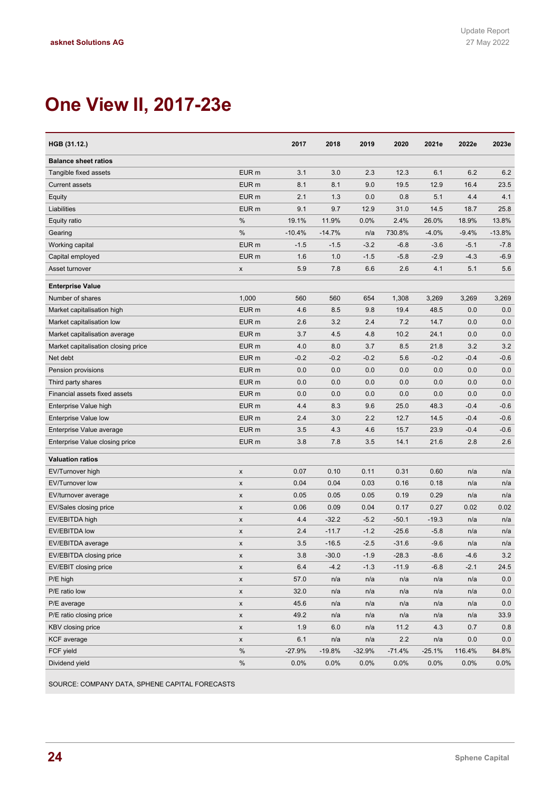# **One View II, 2017-23e**

| HGB (31.12.)                        |                    | 2017     | 2018     | 2019     | 2020     | 2021e    | 2022e   | 2023e    |
|-------------------------------------|--------------------|----------|----------|----------|----------|----------|---------|----------|
| <b>Balance sheet ratios</b>         |                    |          |          |          |          |          |         |          |
| Tangible fixed assets               | EUR <sub>m</sub>   | 3.1      | 3.0      | 2.3      | 12.3     | 6.1      | 6.2     | 6.2      |
| <b>Current assets</b>               | EUR <sub>m</sub>   | 8.1      | 8.1      | 9.0      | 19.5     | 12.9     | 16.4    | 23.5     |
| Equity                              | EUR <sub>m</sub>   | 2.1      | 1.3      | 0.0      | 0.8      | 5.1      | 4.4     | 4.1      |
| Liabilities                         | EUR <sub>m</sub>   | 9.1      | 9.7      | 12.9     | 31.0     | 14.5     | 18.7    | 25.8     |
| Equity ratio                        | %                  | 19.1%    | 11.9%    | 0.0%     | 2.4%     | 26.0%    | 18.9%   | 13.8%    |
| Gearing                             | %                  | $-10.4%$ | $-14.7%$ | n/a      | 730.8%   | $-4.0%$  | $-9.4%$ | $-13.8%$ |
| Working capital                     | EUR <sub>m</sub>   | $-1.5$   | $-1.5$   | $-3.2$   | $-6.8$   | $-3.6$   | $-5.1$  | $-7.8$   |
| Capital employed                    | EUR <sub>m</sub>   | 1.6      | 1.0      | $-1.5$   | $-5.8$   | $-2.9$   | $-4.3$  | $-6.9$   |
| Asset turnover                      | X                  | 5.9      | 7.8      | 6.6      | 2.6      | 4.1      | 5.1     | 5.6      |
| <b>Enterprise Value</b>             |                    |          |          |          |          |          |         |          |
| Number of shares                    | 1,000              | 560      | 560      | 654      | 1,308    | 3,269    | 3,269   | 3,269    |
| Market capitalisation high          | EUR <sub>m</sub>   | 4.6      | 8.5      | 9.8      | 19.4     | 48.5     | 0.0     | 0.0      |
| Market capitalisation low           | EUR <sub>m</sub>   | 2.6      | 3.2      | 2.4      | 7.2      | 14.7     | 0.0     | 0.0      |
| Market capitalisation average       | EUR <sub>m</sub>   | 3.7      | 4.5      | 4.8      | 10.2     | 24.1     | 0.0     | 0.0      |
| Market capitalisation closing price | EUR <sub>m</sub>   | 4.0      | 8.0      | 3.7      | 8.5      | 21.8     | 3.2     | 3.2      |
| Net debt                            | EUR <sub>m</sub>   | $-0.2$   | $-0.2$   | $-0.2$   | 5.6      | $-0.2$   | $-0.4$  | $-0.6$   |
| Pension provisions                  | EUR <sub>m</sub>   | 0.0      | 0.0      | 0.0      | 0.0      | 0.0      | 0.0     | 0.0      |
| Third party shares                  | EUR <sub>m</sub>   | 0.0      | 0.0      | 0.0      | 0.0      | 0.0      | 0.0     | 0.0      |
| Financial assets fixed assets       | EUR <sub>m</sub>   | 0.0      | 0.0      | 0.0      | 0.0      | 0.0      | 0.0     | 0.0      |
| Enterprise Value high               | EUR <sub>m</sub>   | 4.4      | 8.3      | 9.6      | 25.0     | 48.3     | $-0.4$  | $-0.6$   |
| Enterprise Value low                | EUR <sub>m</sub>   | 2.4      | 3.0      | 2.2      | 12.7     | 14.5     | $-0.4$  | $-0.6$   |
| Enterprise Value average            | EUR <sub>m</sub>   | 3.5      | 4.3      | 4.6      | 15.7     | 23.9     | $-0.4$  | $-0.6$   |
| Enterprise Value closing price      | EUR <sub>m</sub>   | 3.8      | 7.8      | 3.5      | 14.1     | 21.6     | 2.8     | 2.6      |
| <b>Valuation ratios</b>             |                    |          |          |          |          |          |         |          |
| EV/Turnover high                    | $\pmb{\mathsf{x}}$ | 0.07     | 0.10     | 0.11     | 0.31     | 0.60     | n/a     | n/a      |
| <b>EV/Turnover low</b>              | X                  | 0.04     | 0.04     | 0.03     | 0.16     | 0.18     | n/a     | n/a      |
| EV/turnover average                 | X                  | 0.05     | 0.05     | 0.05     | 0.19     | 0.29     | n/a     | n/a      |
| EV/Sales closing price              | X                  | 0.06     | 0.09     | 0.04     | 0.17     | 0.27     | 0.02    | 0.02     |
| EV/EBITDA high                      | X                  | 4.4      | $-32.2$  | $-5.2$   | $-50.1$  | $-19.3$  | n/a     | n/a      |
| <b>EV/EBITDA low</b>                | X                  | 2.4      | $-11.7$  | $-1.2$   | $-25.6$  | $-5.8$   | n/a     | n/a      |
| EV/EBITDA average                   | X                  | 3.5      | $-16.5$  | $-2.5$   | $-31.6$  | $-9.6$   | n/a     | n/a      |
| EV/EBITDA closing price             | x                  | 3.8      | $-30.0$  | $-1.9$   | $-28.3$  | $-8.6$   | $-4.6$  | $3.2\,$  |
| EV/EBIT closing price               | X                  | 6.4      | $-4.2$   | $-1.3$   | $-11.9$  | $-6.8$   | $-2.1$  | 24.5     |
| P/E high                            | x                  | 57.0     | n/a      | n/a      | n/a      | n/a      | n/a     | 0.0      |
| P/E ratio low                       | x                  | 32.0     | n/a      | n/a      | n/a      | n/a      | n/a     | 0.0      |
| P/E average                         | X                  | 45.6     | n/a      | n/a      | n/a      | n/a      | n/a     | 0.0      |
| P/E ratio closing price             | X                  | 49.2     | n/a      | n/a      | n/a      | n/a      | n/a     | 33.9     |
| <b>KBV</b> closing price            | X                  | 1.9      | 6.0      | n/a      | 11.2     | 4.3      | 0.7     | 0.8      |
| <b>KCF</b> average                  | X                  | 6.1      | n/a      | n/a      | 2.2      | n/a      | 0.0     | 0.0      |
| FCF yield                           | $\%$               | $-27.9%$ | $-19.8%$ | $-32.9%$ | $-71.4%$ | $-25.1%$ | 116.4%  | 84.8%    |
| Dividend yield                      | $\%$               | 0.0%     | 0.0%     | $0.0\%$  | 0.0%     | 0.0%     | 0.0%    | $0.0\%$  |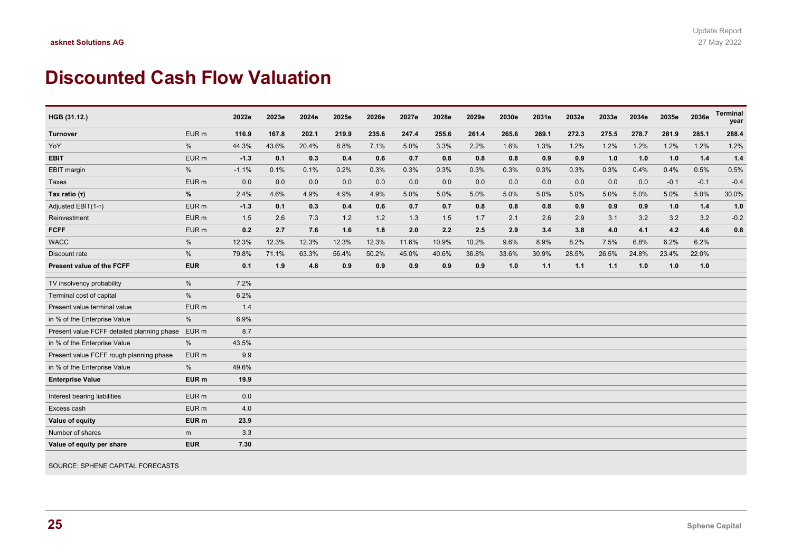### **Discounted Cash Flow Valuation**

| HGB (31.12.)                               |                  | 2022e   | 2023e | 2024e | 2025e | 2026e | 2027e | 2028e | 2029e | 2030e | 2031e | 2032e | 2033e | 2034e | 2035e  | 2036e  | <b>Terminal</b><br>year |
|--------------------------------------------|------------------|---------|-------|-------|-------|-------|-------|-------|-------|-------|-------|-------|-------|-------|--------|--------|-------------------------|
| Turnover                                   | EUR <sub>m</sub> | 116.9   | 167.8 | 202.1 | 219.9 | 235.6 | 247.4 | 255.6 | 261.4 | 265.6 | 269.1 | 272.3 | 275.5 | 278.7 | 281.9  | 285.1  | 288.4                   |
| YoY                                        | $\frac{0}{0}$    | 44.3%   | 43.6% | 20.4% | 8.8%  | 7.1%  | 5.0%  | 3.3%  | 2.2%  | 1.6%  | 1.3%  | 1.2%  | 1.2%  | 1.2%  | 1.2%   | 1.2%   | 1.2%                    |
| <b>EBIT</b>                                | EUR <sub>m</sub> | $-1.3$  | 0.1   | 0.3   | 0.4   | 0.6   | 0.7   | 0.8   | 0.8   | 0.8   | 0.9   | 0.9   | 1.0   | 1.0   | 1.0    | 1.4    | $1.4$                   |
| EBIT margin                                | %                | $-1.1%$ | 0.1%  | 0.1%  | 0.2%  | 0.3%  | 0.3%  | 0.3%  | 0.3%  | 0.3%  | 0.3%  | 0.3%  | 0.3%  | 0.4%  | 0.4%   | 0.5%   | 0.5%                    |
| Taxes                                      | EUR <sub>m</sub> | 0.0     | 0.0   | 0.0   | 0.0   | 0.0   | 0.0   | 0.0   | 0.0   | 0.0   | 0.0   | 0.0   | 0.0   | 0.0   | $-0.1$ | $-0.1$ | $-0.4$                  |
| Tax ratio (T)                              | %                | 2.4%    | 4.6%  | 4.9%  | 4.9%  | 4.9%  | 5.0%  | 5.0%  | 5.0%  | 5.0%  | 5.0%  | 5.0%  | 5.0%  | 5.0%  | 5.0%   | 5.0%   | 30.0%                   |
| Adjusted EBIT(1-T)                         | EUR <sub>m</sub> | $-1.3$  | 0.1   | 0.3   | 0.4   | 0.6   | 0.7   | 0.7   | 0.8   | 0.8   | 0.8   | 0.9   | 0.9   | 0.9   | 1.0    | 1.4    | 1.0                     |
| Reinvestment                               | EUR <sub>m</sub> | 1.5     | 2.6   | 7.3   | 1.2   | 1.2   | 1.3   | 1.5   | 1.7   | 2.1   | 2.6   | 2.9   | 3.1   | 3.2   | 3.2    | 3.2    | $-0.2$                  |
| <b>FCFF</b>                                | EUR <sub>m</sub> | 0.2     | 2.7   | 7.6   | 1.6   | 1.8   | 2.0   | 2.2   | 2.5   | 2.9   | 3.4   | 3.8   | 4.0   | 4.1   | 4.2    | 4.6    | 0.8                     |
| <b>WACC</b>                                | %                | 12.3%   | 12.3% | 12.3% | 12.3% | 12.3% | 11.6% | 10.9% | 10.2% | 9.6%  | 8.9%  | 8.2%  | 7.5%  | 6.8%  | 6.2%   | 6.2%   |                         |
| Discount rate                              | $\frac{0}{0}$    | 79.8%   | 71.1% | 63.3% | 56.4% | 50.2% | 45.0% | 40.6% | 36.8% | 33.6% | 30.9% | 28.5% | 26.5% | 24.8% | 23.4%  | 22.0%  |                         |
| Present value of the FCFF                  | <b>EUR</b>       | 0.1     | 1.9   | 4.8   | 0.9   | 0.9   | 0.9   | 0.9   | 0.9   | 1.0   | 1.1   | 1.1   | 1.1   | 1.0   | 1.0    | 1.0    |                         |
| TV insolvency probability                  | $\frac{0}{0}$    | 7.2%    |       |       |       |       |       |       |       |       |       |       |       |       |        |        |                         |
| Terminal cost of capital                   | %                | 6.2%    |       |       |       |       |       |       |       |       |       |       |       |       |        |        |                         |
| Present value terminal value               | EUR <sub>m</sub> | 1.4     |       |       |       |       |       |       |       |       |       |       |       |       |        |        |                         |
| in % of the Enterprise Value               | %                | 6.9%    |       |       |       |       |       |       |       |       |       |       |       |       |        |        |                         |
| Present value FCFF detailed planning phase | EUR <sub>m</sub> | 8.7     |       |       |       |       |       |       |       |       |       |       |       |       |        |        |                         |
| in % of the Enterprise Value               | %                | 43.5%   |       |       |       |       |       |       |       |       |       |       |       |       |        |        |                         |
| Present value FCFF rough planning phase    | EUR <sub>m</sub> | 9.9     |       |       |       |       |       |       |       |       |       |       |       |       |        |        |                         |
| in % of the Enterprise Value               | %                | 49.6%   |       |       |       |       |       |       |       |       |       |       |       |       |        |        |                         |
| <b>Enterprise Value</b>                    | EUR <sub>m</sub> | 19.9    |       |       |       |       |       |       |       |       |       |       |       |       |        |        |                         |
| Interest bearing liabilities               | EUR <sub>m</sub> | 0.0     |       |       |       |       |       |       |       |       |       |       |       |       |        |        |                         |
| Excess cash                                | EUR <sub>m</sub> | 4.0     |       |       |       |       |       |       |       |       |       |       |       |       |        |        |                         |
| Value of equity                            | EUR <sub>m</sub> | 23.9    |       |       |       |       |       |       |       |       |       |       |       |       |        |        |                         |
| Number of shares                           | m                | 3.3     |       |       |       |       |       |       |       |       |       |       |       |       |        |        |                         |
| Value of equity per share                  | <b>EUR</b>       | 7.30    |       |       |       |       |       |       |       |       |       |       |       |       |        |        |                         |

SOURCE: SPHENE CAPITAL FORECASTS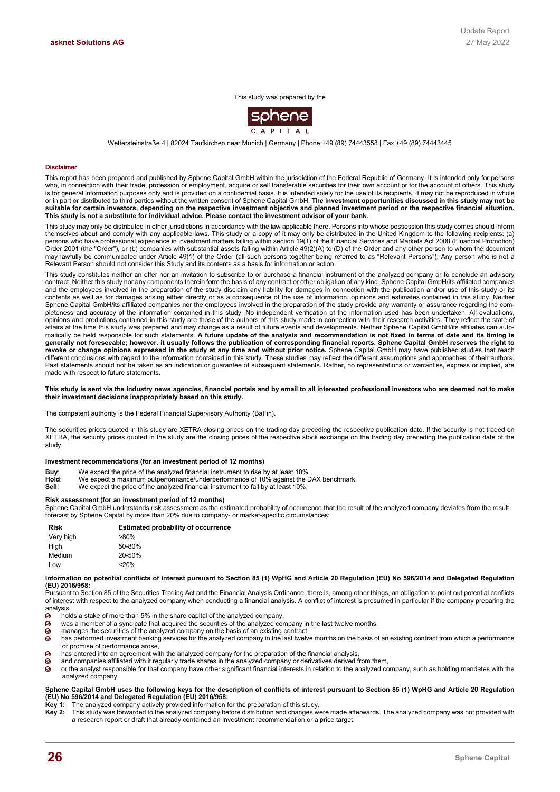#### This study was prepared by the



Wettersteinstraße 4 | 82024 Taufkirchen near Munich | Germany | Phone +49 (89) 74443558 | Fax +49 (89) 74443445

#### **Disclaimer**

This report has been prepared and published by Sphene Capital GmbH within the jurisdiction of the Federal Republic of Germany. It is intended only for persons who, in connection with their trade, profession or employment, acquire or sell transferable securities for their own account or for the account of others. This study is for general information purposes only and is provided on a confidential basis. It is intended solely for the use of its recipients. It may not be reproduced in whole or in part or distributed to third parties without the written consent of Sphene Capital GmbH. **The investment opportunities discussed in this study may not be suitable for certain investors, depending on the respective investment objective and planned investment period or the respective financial situation. This study is not a substitute for individual advice. Please contact the investment advisor of your bank.**

This study may only be distributed in other jurisdictions in accordance with the law applicable there. Persons into whose possession this study comes should inform themselves about and comply with any applicable laws. This study or a copy of it may only be distributed in the United Kingdom to the following recipients: (a) persons who have professional experience in investment matters falling within section 19(1) of the Financial Services and Markets Act 2000 (Financial Promotion) Order 2001 (the "Order"), or (b) companies with substantial assets falling within Article 49(2)(A) to (D) of the Order and any other person to whom the document may lawfully be communicated under Article 49(1) of the Order (all such persons together being referred to as "Relevant Persons"). Any person who is not a Relevant Person should not consider this Study and its contents as a basis for information or action.

This study constitutes neither an offer nor an invitation to subscribe to or purchase a financial instrument of the analyzed company or to conclude an advisory contract. Neither this study nor any components therein form the basis of any contract or other obligation of any kind. Sphene Capital GmbH/its affiliated companies and the employees involved in the preparation of the study disclaim any liability for damages in connection with the publication and/or use of this study or its contents as well as for damages arising either directly or as a consequence of the use of information, opinions and estimates contained in this study. Neither Sphene Capital GmbH/its affiliated companies nor the employees involved in the preparation of the study provide any warranty or assurance regarding the completeness and accuracy of the information contained in this study. No independent verification of the information used has been undertaken. All evaluations, opinions and predictions contained in this study are those of the authors of this study made in connection with their research activities. They reflect the state of affairs at the time this study was prepared and may change as a result of future events and developments. Neither Sphene Capital GmbH/its affiliates can automatically be held responsible for such statements. **A future update of the analysis and recommendation is not fixed in terms of date and its timing is generally not foreseeable; however, it usually follows the publication of corresponding financial reports. Sphene Capital GmbH reserves the right to revoke or change opinions expressed in the study at any time and without prior notice.** Sphene Capital GmbH may have published studies that reach different conclusions with regard to the information contained in this study. These studies may reflect the different assumptions and approaches of their authors. Past statements should not be taken as an indication or guarantee of subsequent statements. Rather, no representations or warranties, express or implied, are made with respect to future statements.

#### **This study is sent via the industry news agencies, financial portals and by email to all interested professional investors who are deemed not to make their investment decisions inappropriately based on this study.**

The competent authority is the Federal Financial Supervisory Authority (BaFin).

The securities prices quoted in this study are XETRA closing prices on the trading day preceding the respective publication date. If the security is not traded on XETRA, the security prices quoted in the study are the closing prices of the respective stock exchange on the trading day preceding the publication date of the study.

#### **Investment recommendations (for an investment period of 12 months)**

- **Buy:** We expect the price of the analyzed financial instrument to rise by at least 10%.<br>Hold: We expect a maximum outperformance/underperformance of 10% against the I
- We expect a maximum outperformance/underperformance of 10% against the DAX benchmark.
- **Sell**: We expect the price of the analyzed financial instrument to fall by at least 10%.

#### **Risk assessment (for an investment period of 12 months)**

Sphene Capital GmbH understands risk assessment as the estimated probability of occurrence that the result of the analyzed company deviates from the result forecast by Sphene Capital by more than 20% due to company- or market-specific circumstances:

| <b>Risk</b> | <b>Estimated probability of occurrence</b> |
|-------------|--------------------------------------------|
| Very high   | $>80\%$                                    |
| Hiah        | 50-80%                                     |
| Medium      | 20-50%                                     |
| Low         | 20%                                        |

#### **Information on potential conflicts of interest pursuant to Section 85 (1) WpHG and Article 20 Regulation (EU) No 596/2014 and Delegated Regulation (EU) 2016/958:**

Pursuant to Section 85 of the Securities Trading Act and the Financial Analysis Ordinance, there is, among other things, an obligation to point out potential conflicts of interest with respect to the analyzed company when conducting a financial analysis. A conflict of interest is presumed in particular if the company preparing the analysis<br>
<sup>6</sup> ho

- $\frac{6}{9}$  holds a stake of more than 5% in the share capital of the analyzed company,<br> $\frac{6}{9}$  was a member of a syndicate that acquired the securities of the analyzed company
- $\bullet$  was a member of a syndicate that acquired the securities of the analyzed company in the last twelve months,<br>  $\bullet$  manages the securities of the analyzed company on the basis of an existing contract.
- manages the securities of the analyzed company on the basis of an existing contract,
- has performed investment banking services for the analyzed company in the last twelve months on the basis of an existing contract from which a performance or promise of performance arose,
- has entered into an agreement with the analyzed company for the preparation of the financial analysis,
- and companies affiliated with it regularly trade shares in the analyzed company or derivatives derived from them,
- or the analyst responsible for that company have other significant financial interests in relation to the analyzed company, such as holding mandates with the analyzed company.

#### **Sphene Capital GmbH uses the following keys for the description of conflicts of interest pursuant to Section 85 (1) WpHG and Article 20 Regulation (EU) No 596/2014 and Delegated Regulation (EU) 2016/958:**

- **Key 1:** The analyzed company actively provided information for the preparation of this study.
- **Key 2:** This study was forwarded to the analyzed company before distribution and changes were made afterwards. The analyzed company was not provided with a research report or draft that already contained an investment recommendation or a price target.